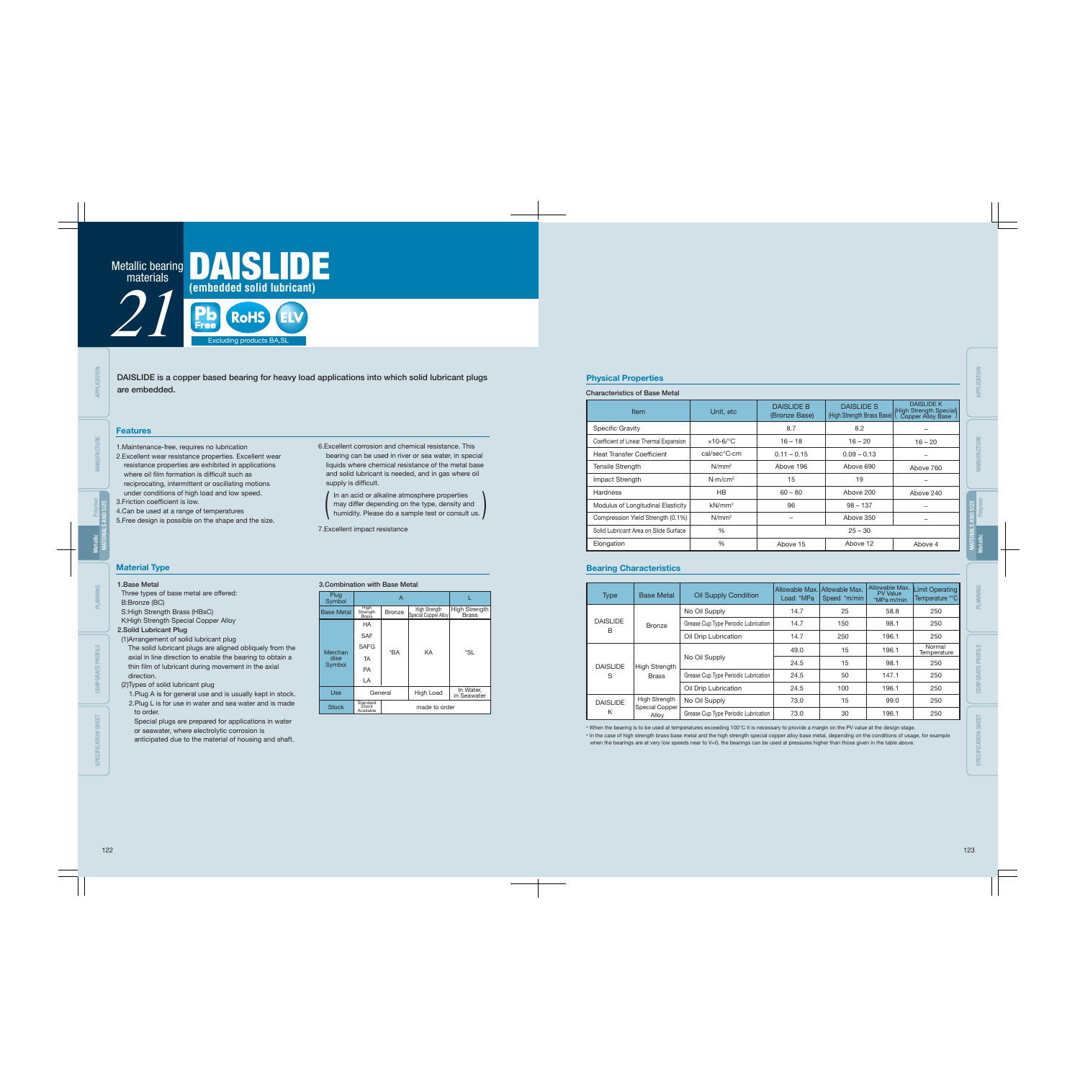### 1.Base Metal

Three types of base metal are offered: B:Bronze (BC) S:High Strength Brass (HBsC)

K:High Strength Special Copper Alloy 2.Solid Lubricant Plug

### (1)Arrangement of solid lubricant plug

The solid lubricant plugs are aligned obliquely from the axial in line direction to enable the bearing to obtain a thin film of lubricant during movement in the axial direction.

#### (2)Types of solid lubricant plug

2.Excellent wear resistance properties. Excellent wear resistance properties are exhibited in applications where oil film formation is difficult such as reciprocating, intermittent or oscillating motions under conditions of high load and low speed. 3. Friction coefficient is low.

1.Plug A is for general use and is usually kept in stock. 2.Plug L is for use in water and sea water and is made to order.

Special plugs are prepared for applications in water or seawater, where electrolytic corrosion is

6.Excellent corrosion and chemical resistance. This bearing can be used in river or sea water, in special liquids where chemical resistance of the metal base and solid lubricant is needed, and in gas where oil supply is difficult.

I In an acid or alkaline atmosphere properties may differ depending on the type, density and<br>humidity. Please do a sample test or consult us.

anticipated due to the material of housing and shaft.

DAISLIDE is a copper based bearing for heavy load applications into which solid lubricant plugs are embedded.

1.Maintenance-free, requires no lubrication

4.Can be used at a range of temperatures

5.Free design is possible on the shape and the size.

7.Excellent impact resistance

#### Features

### Material Type

### Physical Properties

#### Characteristics of Base Metal

\* When the bearing is to be used at temperatures exceeding 100°C it is necessary to provide a margin on the PV value at the design stage. \* In the case of high strength brass base metal and the high strength special copper alloy base metal, depending on the conditions of usage, for example when the bearings are at very low speeds near to V=0, the bearings can be used at pressures higher than those given in the table above.

### 3.Combination with Base Metal

### Bearing Characteristics

| Plug<br>Symbol    |                                | A             |                                       |                                      |  |  |  |
|-------------------|--------------------------------|---------------|---------------------------------------|--------------------------------------|--|--|--|
| <b>Base Metal</b> | High<br>Strength<br>Brass      | <b>Bronze</b> | High Strength<br>Special Copper Alloy | <b>High Strength</b><br><b>Brass</b> |  |  |  |
|                   | HA                             |               |                                       |                                      |  |  |  |
|                   | <b>SAF</b>                     |               |                                       |                                      |  |  |  |
| Merchan<br>dise   | <b>SAFG</b>                    |               | KA                                    | *SL                                  |  |  |  |
|                   | <b>TA</b>                      | *BA           |                                       |                                      |  |  |  |
| Symbol            | <b>PA</b>                      |               |                                       |                                      |  |  |  |
|                   | LA                             |               |                                       |                                      |  |  |  |
| Use               | General                        |               | High Load                             | In Water,<br>in Seawater             |  |  |  |
| <b>Stock</b>      | Standard<br>Stock<br>Available |               | made to order                         |                                      |  |  |  |

| <b>Item</b>                             | Unit, etc           | <b>DAISLIDE B</b><br>(Bronze Base) | <b>DAISLIDE S</b><br>(High Strength Brass Base) | <b>DAISLIDE K</b><br>High Strength Special<br>Copper Alloy Base |
|-----------------------------------------|---------------------|------------------------------------|-------------------------------------------------|-----------------------------------------------------------------|
| <b>Specific Gravity</b>                 |                     | 8.7                                | 8.2                                             |                                                                 |
| Coefficient of Linear Thermal Expansion | $\times$ 10-6/°C    | $16 - 18$                          | $16 - 20$                                       | $16 - 20$                                                       |
| <b>Heat Transfer Coefficient</b>        | cal/sec°C·cm        | $0.11 - 0.15$                      | $0.09 - 0.13$                                   | -                                                               |
| <b>Tensile Strength</b>                 | $N/mm^2$            | Above 196                          | Above 690                                       | Above 760                                                       |
| Impact Strength                         | N·m/cm <sup>2</sup> | 15                                 | 19                                              |                                                                 |
| <b>Hardness</b>                         | <b>HB</b>           | $60 - 80$                          | Above 200                                       | Above 240                                                       |
| Modulus of Longitudinal Elasticity      | $kN/mm^2$           | 96                                 | $98 - 137$                                      | -                                                               |
| Compression Yield Strength (0.1%)       | $N/mm^2$            |                                    | Above 350                                       |                                                                 |
| Solid Lubricant Area on Slide Surface   | $\%$                |                                    | $25 - 30$                                       |                                                                 |
| Elongation                              | $\%$                | Above 15                           | Above 12                                        | Above 4                                                         |

| <b>Type</b>     | <b>Base Metal</b>              | <b>Oil Supply Condition</b>          | Allowable Max.<br>Load *MPa | Allowable Max.<br>Speed *m/min | Allowable Max.<br><b>PV Value</b><br>$*MPa·m/min$ | <b>Limit Operating</b><br>Temperature *°C |
|-----------------|--------------------------------|--------------------------------------|-----------------------------|--------------------------------|---------------------------------------------------|-------------------------------------------|
|                 |                                | No Oil Supply                        | 14.7                        | 25                             | 58.8                                              | 250                                       |
| <b>DAISLIDE</b> | <b>Bronze</b>                  | Grease Cup Type Periodic Lubrication | 14.7                        | 150                            | 98.1                                              | 250                                       |
| B               |                                | Oil Drip Lubrication                 | 14.7                        | 250                            | 196.1                                             | 250                                       |
|                 |                                |                                      | 49.0                        | 15                             | 196.1                                             | Normal<br>Temperature                     |
| <b>DAISLIDE</b> | High Strength                  | No Oil Supply                        | 24.5                        | 15                             | 98.1                                              | 250                                       |
| S               | <b>Brass</b>                   | Grease Cup Type Periodic Lubrication | 24.5                        | 50                             | 147.1                                             | 250                                       |
|                 |                                | Oil Drip Lubrication                 | 24.5                        | 100                            | 196.1                                             | 250                                       |
| <b>DAISLIDE</b> | High Strength                  | No Oil Supply                        | 73.0                        | 15                             | 99.0                                              | 250                                       |
| Κ               | <b>Special Copper</b><br>Alloy | Grease Cup Type Periodic Lubrication | 73.0                        | 30                             | 196.1                                             | 250                                       |



MANUFACTURE

CORPORATE PROFILE

SPECIFICATION SHEET

MATERIALS AND SIZE Polymer

MANUFACTURE

**APPLICATION** 

PLANNING

CORPORATE PROFILE

SPECIFICATION SHEET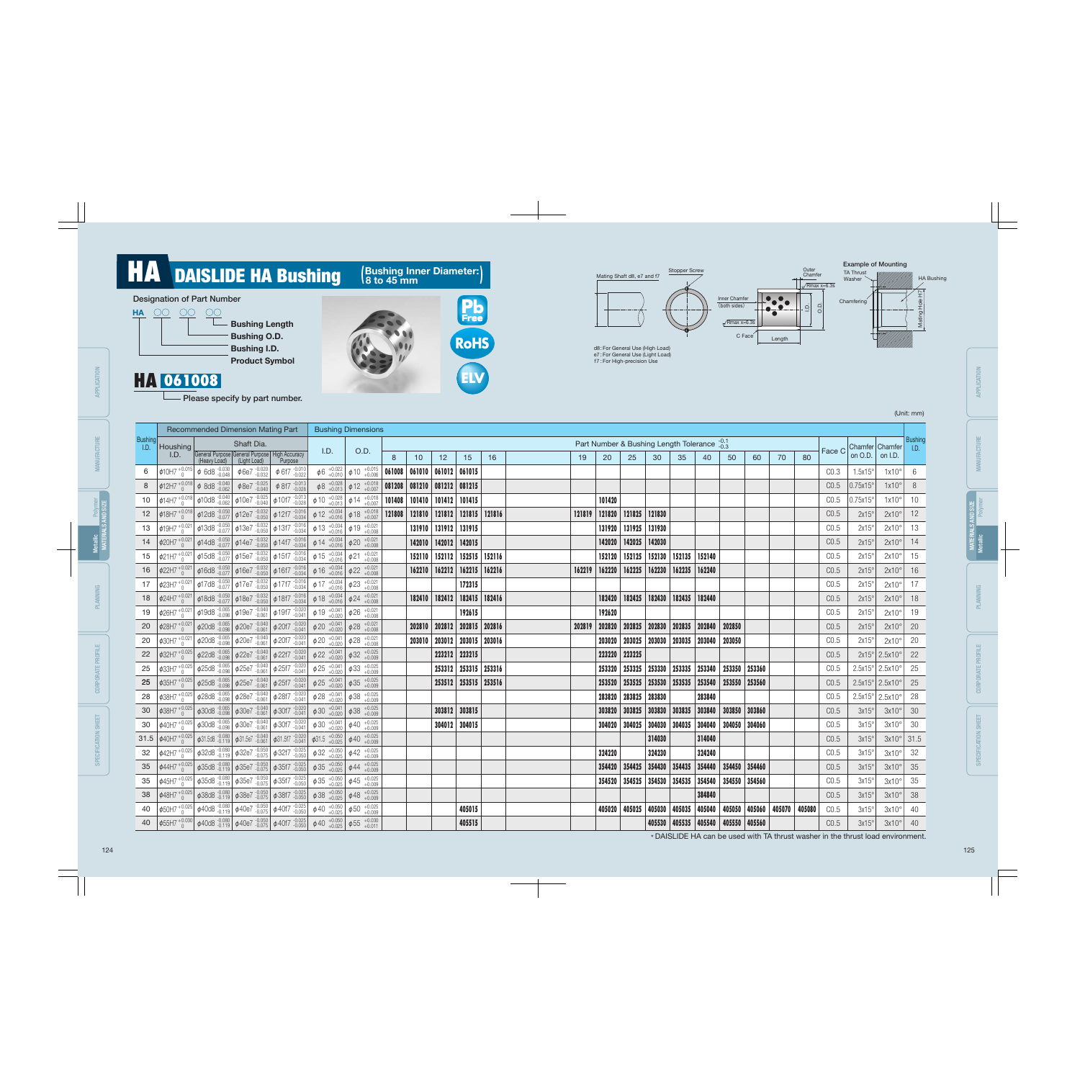# **PORT AND DAISLIDE HA Bushing (Bushing Inner Diameter:)**<br>
Designation of Part Number<br>
Bushing Length<br>
Bushing 1 D.<br>
Bushing 1 D.<br>
Bushing 1 D.<br>
Bushing 1 D.

- Please specify by part number.

|  | (Unit: mm) |
|--|------------|
|  |            |





d8 : For General Use (High Load) e7 : For General Use (Light Load) f7 : For High-precision Use





|      | Recommended Dimension Mating Part                                                                                                                                                                                                                                                                       |                                                                                  | <b>Bushing Dimensions</b>                                                                                                                                                                                                                                                                                                                                                                                                                                                                                                                                                                                                                                                                                                                                                                                                                                                                                                                                                                                                                                                                                                                                                                                                                                                                                                                                                                                                                                                                                                                                                                                                                                                                                                                                                                                                                                                                                                                                                                                                                                                                                                                                                                                                                                                                                                                                                                                                                                                                                                                                                        |                                                                                                                                                                                                                                                                                                                                                                                                                                                                                                                                                                                                                                                                    |                                                                                                                                                                                                                                                                                                                                                                                                                                                                                                                                                                                                                                                                                                                                                                                                                                                                                                                                                                                                                                                                                                                                                                                                                                                                                                                                                                                                                                                                                                                                                                                                                                                              |                  |                           |                                                                                                                                    |                                                                                                                                            |        |                                                          |                         |        |                                                                                        |                                                                                                                                          |                                                                                        |                                                                                                                                                                                                                 |    |                                   |                        |         |                                                                                                                                                                                                                                                                                                                                                                                                                                                                          |
|------|---------------------------------------------------------------------------------------------------------------------------------------------------------------------------------------------------------------------------------------------------------------------------------------------------------|----------------------------------------------------------------------------------|----------------------------------------------------------------------------------------------------------------------------------------------------------------------------------------------------------------------------------------------------------------------------------------------------------------------------------------------------------------------------------------------------------------------------------------------------------------------------------------------------------------------------------------------------------------------------------------------------------------------------------------------------------------------------------------------------------------------------------------------------------------------------------------------------------------------------------------------------------------------------------------------------------------------------------------------------------------------------------------------------------------------------------------------------------------------------------------------------------------------------------------------------------------------------------------------------------------------------------------------------------------------------------------------------------------------------------------------------------------------------------------------------------------------------------------------------------------------------------------------------------------------------------------------------------------------------------------------------------------------------------------------------------------------------------------------------------------------------------------------------------------------------------------------------------------------------------------------------------------------------------------------------------------------------------------------------------------------------------------------------------------------------------------------------------------------------------------------------------------------------------------------------------------------------------------------------------------------------------------------------------------------------------------------------------------------------------------------------------------------------------------------------------------------------------------------------------------------------------------------------------------------------------------------------------------------------------|--------------------------------------------------------------------------------------------------------------------------------------------------------------------------------------------------------------------------------------------------------------------------------------------------------------------------------------------------------------------------------------------------------------------------------------------------------------------------------------------------------------------------------------------------------------------------------------------------------------------------------------------------------------------|--------------------------------------------------------------------------------------------------------------------------------------------------------------------------------------------------------------------------------------------------------------------------------------------------------------------------------------------------------------------------------------------------------------------------------------------------------------------------------------------------------------------------------------------------------------------------------------------------------------------------------------------------------------------------------------------------------------------------------------------------------------------------------------------------------------------------------------------------------------------------------------------------------------------------------------------------------------------------------------------------------------------------------------------------------------------------------------------------------------------------------------------------------------------------------------------------------------------------------------------------------------------------------------------------------------------------------------------------------------------------------------------------------------------------------------------------------------------------------------------------------------------------------------------------------------------------------------------------------------------------------------------------------------|------------------|---------------------------|------------------------------------------------------------------------------------------------------------------------------------|--------------------------------------------------------------------------------------------------------------------------------------------|--------|----------------------------------------------------------|-------------------------|--------|----------------------------------------------------------------------------------------|------------------------------------------------------------------------------------------------------------------------------------------|----------------------------------------------------------------------------------------|-----------------------------------------------------------------------------------------------------------------------------------------------------------------------------------------------------------------|----|-----------------------------------|------------------------|---------|--------------------------------------------------------------------------------------------------------------------------------------------------------------------------------------------------------------------------------------------------------------------------------------------------------------------------------------------------------------------------------------------------------------------------------------------------------------------------|
|      |                                                                                                                                                                                                                                                                                                         |                                                                                  |                                                                                                                                                                                                                                                                                                                                                                                                                                                                                                                                                                                                                                                                                                                                                                                                                                                                                                                                                                                                                                                                                                                                                                                                                                                                                                                                                                                                                                                                                                                                                                                                                                                                                                                                                                                                                                                                                                                                                                                                                                                                                                                                                                                                                                                                                                                                                                                                                                                                                                                                                                                  |                                                                                                                                                                                                                                                                                                                                                                                                                                                                                                                                                                                                                                                                    |                                                                                                                                                                                                                                                                                                                                                                                                                                                                                                                                                                                                                                                                                                                                                                                                                                                                                                                                                                                                                                                                                                                                                                                                                                                                                                                                                                                                                                                                                                                                                                                                                                                              |                  |                           |                                                                                                                                    |                                                                                                                                            |        |                                                          |                         |        |                                                                                        |                                                                                                                                          |                                                                                        |                                                                                                                                                                                                                 |    |                                   |                        |         | Bushing<br>I.D.                                                                                                                                                                                                                                                                                                                                                                                                                                                          |
| I.D. |                                                                                                                                                                                                                                                                                                         |                                                                                  |                                                                                                                                                                                                                                                                                                                                                                                                                                                                                                                                                                                                                                                                                                                                                                                                                                                                                                                                                                                                                                                                                                                                                                                                                                                                                                                                                                                                                                                                                                                                                                                                                                                                                                                                                                                                                                                                                                                                                                                                                                                                                                                                                                                                                                                                                                                                                                                                                                                                                                                                                                                  | 8                                                                                                                                                                                                                                                                                                                                                                                                                                                                                                                                                                                                                                                                  | 10                                                                                                                                                                                                                                                                                                                                                                                                                                                                                                                                                                                                                                                                                                                                                                                                                                                                                                                                                                                                                                                                                                                                                                                                                                                                                                                                                                                                                                                                                                                                                                                                                                                           | 12               | 15                        | 16                                                                                                                                 | 19                                                                                                                                         | 20     | 25                                                       | 30                      | 35     | 40                                                                                     | 50                                                                                                                                       | 60                                                                                     | 70                                                                                                                                                                                                              | 80 |                                   | on O.D.                | on I.D. |                                                                                                                                                                                                                                                                                                                                                                                                                                                                          |
|      |                                                                                                                                                                                                                                                                                                         |                                                                                  |                                                                                                                                                                                                                                                                                                                                                                                                                                                                                                                                                                                                                                                                                                                                                                                                                                                                                                                                                                                                                                                                                                                                                                                                                                                                                                                                                                                                                                                                                                                                                                                                                                                                                                                                                                                                                                                                                                                                                                                                                                                                                                                                                                                                                                                                                                                                                                                                                                                                                                                                                                                  |                                                                                                                                                                                                                                                                                                                                                                                                                                                                                                                                                                                                                                                                    | 061010                                                                                                                                                                                                                                                                                                                                                                                                                                                                                                                                                                                                                                                                                                                                                                                                                                                                                                                                                                                                                                                                                                                                                                                                                                                                                                                                                                                                                                                                                                                                                                                                                                                       |                  |                           |                                                                                                                                    |                                                                                                                                            |        |                                                          |                         |        |                                                                                        |                                                                                                                                          |                                                                                        |                                                                                                                                                                                                                 |    | CO.3                              | 1.5x15                 |         |                                                                                                                                                                                                                                                                                                                                                                                                                                                                          |
|      |                                                                                                                                                                                                                                                                                                         |                                                                                  |                                                                                                                                                                                                                                                                                                                                                                                                                                                                                                                                                                                                                                                                                                                                                                                                                                                                                                                                                                                                                                                                                                                                                                                                                                                                                                                                                                                                                                                                                                                                                                                                                                                                                                                                                                                                                                                                                                                                                                                                                                                                                                                                                                                                                                                                                                                                                                                                                                                                                                                                                                                  |                                                                                                                                                                                                                                                                                                                                                                                                                                                                                                                                                                                                                                                                    |                                                                                                                                                                                                                                                                                                                                                                                                                                                                                                                                                                                                                                                                                                                                                                                                                                                                                                                                                                                                                                                                                                                                                                                                                                                                                                                                                                                                                                                                                                                                                                                                                                                              |                  | 081215                    |                                                                                                                                    |                                                                                                                                            |        |                                                          |                         |        |                                                                                        |                                                                                                                                          |                                                                                        |                                                                                                                                                                                                                 |    | CO.5                              | 0.75x15                |         | -8                                                                                                                                                                                                                                                                                                                                                                                                                                                                       |
|      |                                                                                                                                                                                                                                                                                                         |                                                                                  |                                                                                                                                                                                                                                                                                                                                                                                                                                                                                                                                                                                                                                                                                                                                                                                                                                                                                                                                                                                                                                                                                                                                                                                                                                                                                                                                                                                                                                                                                                                                                                                                                                                                                                                                                                                                                                                                                                                                                                                                                                                                                                                                                                                                                                                                                                                                                                                                                                                                                                                                                                                  |                                                                                                                                                                                                                                                                                                                                                                                                                                                                                                                                                                                                                                                                    |                                                                                                                                                                                                                                                                                                                                                                                                                                                                                                                                                                                                                                                                                                                                                                                                                                                                                                                                                                                                                                                                                                                                                                                                                                                                                                                                                                                                                                                                                                                                                                                                                                                              |                  | 101415                    |                                                                                                                                    |                                                                                                                                            | 101420 |                                                          |                         |        |                                                                                        |                                                                                                                                          |                                                                                        |                                                                                                                                                                                                                 |    | CO.5                              | $0.75x15$ <sup>c</sup> |         | 10                                                                                                                                                                                                                                                                                                                                                                                                                                                                       |
|      |                                                                                                                                                                                                                                                                                                         |                                                                                  |                                                                                                                                                                                                                                                                                                                                                                                                                                                                                                                                                                                                                                                                                                                                                                                                                                                                                                                                                                                                                                                                                                                                                                                                                                                                                                                                                                                                                                                                                                                                                                                                                                                                                                                                                                                                                                                                                                                                                                                                                                                                                                                                                                                                                                                                                                                                                                                                                                                                                                                                                                                  |                                                                                                                                                                                                                                                                                                                                                                                                                                                                                                                                                                                                                                                                    |                                                                                                                                                                                                                                                                                                                                                                                                                                                                                                                                                                                                                                                                                                                                                                                                                                                                                                                                                                                                                                                                                                                                                                                                                                                                                                                                                                                                                                                                                                                                                                                                                                                              |                  |                           |                                                                                                                                    |                                                                                                                                            |        | 121825                                                   |                         |        |                                                                                        |                                                                                                                                          |                                                                                        |                                                                                                                                                                                                                 |    | CO.5                              | $2x15^\circ$           |         | 12                                                                                                                                                                                                                                                                                                                                                                                                                                                                       |
|      |                                                                                                                                                                                                                                                                                                         |                                                                                  |                                                                                                                                                                                                                                                                                                                                                                                                                                                                                                                                                                                                                                                                                                                                                                                                                                                                                                                                                                                                                                                                                                                                                                                                                                                                                                                                                                                                                                                                                                                                                                                                                                                                                                                                                                                                                                                                                                                                                                                                                                                                                                                                                                                                                                                                                                                                                                                                                                                                                                                                                                                  |                                                                                                                                                                                                                                                                                                                                                                                                                                                                                                                                                                                                                                                                    |                                                                                                                                                                                                                                                                                                                                                                                                                                                                                                                                                                                                                                                                                                                                                                                                                                                                                                                                                                                                                                                                                                                                                                                                                                                                                                                                                                                                                                                                                                                                                                                                                                                              |                  | 131915                    |                                                                                                                                    |                                                                                                                                            |        | 131925                                                   | 131930                  |        |                                                                                        |                                                                                                                                          |                                                                                        |                                                                                                                                                                                                                 |    | CO.5                              | 2x15                   |         | 13                                                                                                                                                                                                                                                                                                                                                                                                                                                                       |
|      |                                                                                                                                                                                                                                                                                                         |                                                                                  |                                                                                                                                                                                                                                                                                                                                                                                                                                                                                                                                                                                                                                                                                                                                                                                                                                                                                                                                                                                                                                                                                                                                                                                                                                                                                                                                                                                                                                                                                                                                                                                                                                                                                                                                                                                                                                                                                                                                                                                                                                                                                                                                                                                                                                                                                                                                                                                                                                                                                                                                                                                  |                                                                                                                                                                                                                                                                                                                                                                                                                                                                                                                                                                                                                                                                    | 142010                                                                                                                                                                                                                                                                                                                                                                                                                                                                                                                                                                                                                                                                                                                                                                                                                                                                                                                                                                                                                                                                                                                                                                                                                                                                                                                                                                                                                                                                                                                                                                                                                                                       | 142012           | 142015                    |                                                                                                                                    |                                                                                                                                            | 142020 | 142025                                                   | 142030                  |        |                                                                                        |                                                                                                                                          |                                                                                        |                                                                                                                                                                                                                 |    | CO.5                              | 2x15                   |         | 14                                                                                                                                                                                                                                                                                                                                                                                                                                                                       |
|      |                                                                                                                                                                                                                                                                                                         |                                                                                  | $\phi$ 21                                                                                                                                                                                                                                                                                                                                                                                                                                                                                                                                                                                                                                                                                                                                                                                                                                                                                                                                                                                                                                                                                                                                                                                                                                                                                                                                                                                                                                                                                                                                                                                                                                                                                                                                                                                                                                                                                                                                                                                                                                                                                                                                                                                                                                                                                                                                                                                                                                                                                                                                                                        |                                                                                                                                                                                                                                                                                                                                                                                                                                                                                                                                                                                                                                                                    | 152110                                                                                                                                                                                                                                                                                                                                                                                                                                                                                                                                                                                                                                                                                                                                                                                                                                                                                                                                                                                                                                                                                                                                                                                                                                                                                                                                                                                                                                                                                                                                                                                                                                                       | 152112           |                           |                                                                                                                                    |                                                                                                                                            | 152120 | 152125                                                   |                         |        | 152140                                                                                 |                                                                                                                                          |                                                                                        |                                                                                                                                                                                                                 |    | CO.5                              | 2x15                   |         | 15                                                                                                                                                                                                                                                                                                                                                                                                                                                                       |
|      |                                                                                                                                                                                                                                                                                                         |                                                                                  |                                                                                                                                                                                                                                                                                                                                                                                                                                                                                                                                                                                                                                                                                                                                                                                                                                                                                                                                                                                                                                                                                                                                                                                                                                                                                                                                                                                                                                                                                                                                                                                                                                                                                                                                                                                                                                                                                                                                                                                                                                                                                                                                                                                                                                                                                                                                                                                                                                                                                                                                                                                  |                                                                                                                                                                                                                                                                                                                                                                                                                                                                                                                                                                                                                                                                    |                                                                                                                                                                                                                                                                                                                                                                                                                                                                                                                                                                                                                                                                                                                                                                                                                                                                                                                                                                                                                                                                                                                                                                                                                                                                                                                                                                                                                                                                                                                                                                                                                                                              | 162212           |                           |                                                                                                                                    |                                                                                                                                            |        | 162225                                                   |                         |        | 162240                                                                                 |                                                                                                                                          |                                                                                        |                                                                                                                                                                                                                 |    | CO.5                              | 2x15                   |         | 16                                                                                                                                                                                                                                                                                                                                                                                                                                                                       |
|      |                                                                                                                                                                                                                                                                                                         |                                                                                  |                                                                                                                                                                                                                                                                                                                                                                                                                                                                                                                                                                                                                                                                                                                                                                                                                                                                                                                                                                                                                                                                                                                                                                                                                                                                                                                                                                                                                                                                                                                                                                                                                                                                                                                                                                                                                                                                                                                                                                                                                                                                                                                                                                                                                                                                                                                                                                                                                                                                                                                                                                                  |                                                                                                                                                                                                                                                                                                                                                                                                                                                                                                                                                                                                                                                                    |                                                                                                                                                                                                                                                                                                                                                                                                                                                                                                                                                                                                                                                                                                                                                                                                                                                                                                                                                                                                                                                                                                                                                                                                                                                                                                                                                                                                                                                                                                                                                                                                                                                              |                  | 172315                    |                                                                                                                                    |                                                                                                                                            |        |                                                          |                         |        |                                                                                        |                                                                                                                                          |                                                                                        |                                                                                                                                                                                                                 |    | CO.5                              | 2x15                   |         |                                                                                                                                                                                                                                                                                                                                                                                                                                                                          |
|      |                                                                                                                                                                                                                                                                                                         |                                                                                  |                                                                                                                                                                                                                                                                                                                                                                                                                                                                                                                                                                                                                                                                                                                                                                                                                                                                                                                                                                                                                                                                                                                                                                                                                                                                                                                                                                                                                                                                                                                                                                                                                                                                                                                                                                                                                                                                                                                                                                                                                                                                                                                                                                                                                                                                                                                                                                                                                                                                                                                                                                                  |                                                                                                                                                                                                                                                                                                                                                                                                                                                                                                                                                                                                                                                                    | 182410                                                                                                                                                                                                                                                                                                                                                                                                                                                                                                                                                                                                                                                                                                                                                                                                                                                                                                                                                                                                                                                                                                                                                                                                                                                                                                                                                                                                                                                                                                                                                                                                                                                       | 182412           |                           |                                                                                                                                    |                                                                                                                                            | 182420 |                                                          |                         |        |                                                                                        |                                                                                                                                          |                                                                                        |                                                                                                                                                                                                                 |    | CO.5                              | 2x15                   |         |                                                                                                                                                                                                                                                                                                                                                                                                                                                                          |
|      |                                                                                                                                                                                                                                                                                                         |                                                                                  |                                                                                                                                                                                                                                                                                                                                                                                                                                                                                                                                                                                                                                                                                                                                                                                                                                                                                                                                                                                                                                                                                                                                                                                                                                                                                                                                                                                                                                                                                                                                                                                                                                                                                                                                                                                                                                                                                                                                                                                                                                                                                                                                                                                                                                                                                                                                                                                                                                                                                                                                                                                  |                                                                                                                                                                                                                                                                                                                                                                                                                                                                                                                                                                                                                                                                    |                                                                                                                                                                                                                                                                                                                                                                                                                                                                                                                                                                                                                                                                                                                                                                                                                                                                                                                                                                                                                                                                                                                                                                                                                                                                                                                                                                                                                                                                                                                                                                                                                                                              |                  | 192615                    |                                                                                                                                    |                                                                                                                                            | 192620 |                                                          |                         |        |                                                                                        |                                                                                                                                          |                                                                                        |                                                                                                                                                                                                                 |    | CO.5                              | 2x15                   |         | 19                                                                                                                                                                                                                                                                                                                                                                                                                                                                       |
|      |                                                                                                                                                                                                                                                                                                         |                                                                                  |                                                                                                                                                                                                                                                                                                                                                                                                                                                                                                                                                                                                                                                                                                                                                                                                                                                                                                                                                                                                                                                                                                                                                                                                                                                                                                                                                                                                                                                                                                                                                                                                                                                                                                                                                                                                                                                                                                                                                                                                                                                                                                                                                                                                                                                                                                                                                                                                                                                                                                                                                                                  |                                                                                                                                                                                                                                                                                                                                                                                                                                                                                                                                                                                                                                                                    | 202810                                                                                                                                                                                                                                                                                                                                                                                                                                                                                                                                                                                                                                                                                                                                                                                                                                                                                                                                                                                                                                                                                                                                                                                                                                                                                                                                                                                                                                                                                                                                                                                                                                                       | 202812           |                           |                                                                                                                                    |                                                                                                                                            | 202820 | 202825                                                   |                         |        |                                                                                        | 202850                                                                                                                                   |                                                                                        |                                                                                                                                                                                                                 |    | CO.5                              | 2x15                   |         | 20                                                                                                                                                                                                                                                                                                                                                                                                                                                                       |
|      |                                                                                                                                                                                                                                                                                                         |                                                                                  | $\phi$ 28                                                                                                                                                                                                                                                                                                                                                                                                                                                                                                                                                                                                                                                                                                                                                                                                                                                                                                                                                                                                                                                                                                                                                                                                                                                                                                                                                                                                                                                                                                                                                                                                                                                                                                                                                                                                                                                                                                                                                                                                                                                                                                                                                                                                                                                                                                                                                                                                                                                                                                                                                                        |                                                                                                                                                                                                                                                                                                                                                                                                                                                                                                                                                                                                                                                                    | 203010                                                                                                                                                                                                                                                                                                                                                                                                                                                                                                                                                                                                                                                                                                                                                                                                                                                                                                                                                                                                                                                                                                                                                                                                                                                                                                                                                                                                                                                                                                                                                                                                                                                       | 203012           |                           |                                                                                                                                    |                                                                                                                                            | 203020 | 203025                                                   |                         |        |                                                                                        | 203050                                                                                                                                   |                                                                                        |                                                                                                                                                                                                                 |    | CO.5                              | $2x15^\circ$           |         | 20                                                                                                                                                                                                                                                                                                                                                                                                                                                                       |
|      |                                                                                                                                                                                                                                                                                                         |                                                                                  |                                                                                                                                                                                                                                                                                                                                                                                                                                                                                                                                                                                                                                                                                                                                                                                                                                                                                                                                                                                                                                                                                                                                                                                                                                                                                                                                                                                                                                                                                                                                                                                                                                                                                                                                                                                                                                                                                                                                                                                                                                                                                                                                                                                                                                                                                                                                                                                                                                                                                                                                                                                  |                                                                                                                                                                                                                                                                                                                                                                                                                                                                                                                                                                                                                                                                    |                                                                                                                                                                                                                                                                                                                                                                                                                                                                                                                                                                                                                                                                                                                                                                                                                                                                                                                                                                                                                                                                                                                                                                                                                                                                                                                                                                                                                                                                                                                                                                                                                                                              |                  | 223215                    |                                                                                                                                    |                                                                                                                                            | 223220 | 223225                                                   |                         |        |                                                                                        |                                                                                                                                          |                                                                                        |                                                                                                                                                                                                                 |    | CO.5                              |                        |         | 22                                                                                                                                                                                                                                                                                                                                                                                                                                                                       |
|      |                                                                                                                                                                                                                                                                                                         |                                                                                  |                                                                                                                                                                                                                                                                                                                                                                                                                                                                                                                                                                                                                                                                                                                                                                                                                                                                                                                                                                                                                                                                                                                                                                                                                                                                                                                                                                                                                                                                                                                                                                                                                                                                                                                                                                                                                                                                                                                                                                                                                                                                                                                                                                                                                                                                                                                                                                                                                                                                                                                                                                                  |                                                                                                                                                                                                                                                                                                                                                                                                                                                                                                                                                                                                                                                                    |                                                                                                                                                                                                                                                                                                                                                                                                                                                                                                                                                                                                                                                                                                                                                                                                                                                                                                                                                                                                                                                                                                                                                                                                                                                                                                                                                                                                                                                                                                                                                                                                                                                              |                  |                           |                                                                                                                                    |                                                                                                                                            | 253320 | 253325                                                   |                         |        |                                                                                        |                                                                                                                                          |                                                                                        |                                                                                                                                                                                                                 |    | CO.5                              |                        |         | 25                                                                                                                                                                                                                                                                                                                                                                                                                                                                       |
|      |                                                                                                                                                                                                                                                                                                         |                                                                                  |                                                                                                                                                                                                                                                                                                                                                                                                                                                                                                                                                                                                                                                                                                                                                                                                                                                                                                                                                                                                                                                                                                                                                                                                                                                                                                                                                                                                                                                                                                                                                                                                                                                                                                                                                                                                                                                                                                                                                                                                                                                                                                                                                                                                                                                                                                                                                                                                                                                                                                                                                                                  |                                                                                                                                                                                                                                                                                                                                                                                                                                                                                                                                                                                                                                                                    |                                                                                                                                                                                                                                                                                                                                                                                                                                                                                                                                                                                                                                                                                                                                                                                                                                                                                                                                                                                                                                                                                                                                                                                                                                                                                                                                                                                                                                                                                                                                                                                                                                                              |                  |                           |                                                                                                                                    |                                                                                                                                            | 253520 | 253525                                                   |                         |        |                                                                                        |                                                                                                                                          |                                                                                        |                                                                                                                                                                                                                 |    | CO.5                              |                        |         | 25                                                                                                                                                                                                                                                                                                                                                                                                                                                                       |
|      |                                                                                                                                                                                                                                                                                                         |                                                                                  |                                                                                                                                                                                                                                                                                                                                                                                                                                                                                                                                                                                                                                                                                                                                                                                                                                                                                                                                                                                                                                                                                                                                                                                                                                                                                                                                                                                                                                                                                                                                                                                                                                                                                                                                                                                                                                                                                                                                                                                                                                                                                                                                                                                                                                                                                                                                                                                                                                                                                                                                                                                  |                                                                                                                                                                                                                                                                                                                                                                                                                                                                                                                                                                                                                                                                    |                                                                                                                                                                                                                                                                                                                                                                                                                                                                                                                                                                                                                                                                                                                                                                                                                                                                                                                                                                                                                                                                                                                                                                                                                                                                                                                                                                                                                                                                                                                                                                                                                                                              |                  |                           |                                                                                                                                    |                                                                                                                                            | 283820 | 283825                                                   | 283830                  |        | 283840                                                                                 |                                                                                                                                          |                                                                                        |                                                                                                                                                                                                                 |    | CO.5                              |                        |         | 28                                                                                                                                                                                                                                                                                                                                                                                                                                                                       |
|      |                                                                                                                                                                                                                                                                                                         |                                                                                  |                                                                                                                                                                                                                                                                                                                                                                                                                                                                                                                                                                                                                                                                                                                                                                                                                                                                                                                                                                                                                                                                                                                                                                                                                                                                                                                                                                                                                                                                                                                                                                                                                                                                                                                                                                                                                                                                                                                                                                                                                                                                                                                                                                                                                                                                                                                                                                                                                                                                                                                                                                                  |                                                                                                                                                                                                                                                                                                                                                                                                                                                                                                                                                                                                                                                                    |                                                                                                                                                                                                                                                                                                                                                                                                                                                                                                                                                                                                                                                                                                                                                                                                                                                                                                                                                                                                                                                                                                                                                                                                                                                                                                                                                                                                                                                                                                                                                                                                                                                              |                  | 303815                    |                                                                                                                                    |                                                                                                                                            |        | 303825                                                   |                         |        |                                                                                        |                                                                                                                                          |                                                                                        |                                                                                                                                                                                                                 |    | CO.5                              | $3x15^{\circ}$         |         | 30                                                                                                                                                                                                                                                                                                                                                                                                                                                                       |
|      |                                                                                                                                                                                                                                                                                                         |                                                                                  | $\phi$ 40                                                                                                                                                                                                                                                                                                                                                                                                                                                                                                                                                                                                                                                                                                                                                                                                                                                                                                                                                                                                                                                                                                                                                                                                                                                                                                                                                                                                                                                                                                                                                                                                                                                                                                                                                                                                                                                                                                                                                                                                                                                                                                                                                                                                                                                                                                                                                                                                                                                                                                                                                                        |                                                                                                                                                                                                                                                                                                                                                                                                                                                                                                                                                                                                                                                                    |                                                                                                                                                                                                                                                                                                                                                                                                                                                                                                                                                                                                                                                                                                                                                                                                                                                                                                                                                                                                                                                                                                                                                                                                                                                                                                                                                                                                                                                                                                                                                                                                                                                              |                  | 304015                    |                                                                                                                                    |                                                                                                                                            | 304020 | 304025                                                   |                         |        |                                                                                        | 304050                                                                                                                                   |                                                                                        |                                                                                                                                                                                                                 |    | CO.5                              | 3x15                   |         | 30                                                                                                                                                                                                                                                                                                                                                                                                                                                                       |
|      |                                                                                                                                                                                                                                                                                                         |                                                                                  |                                                                                                                                                                                                                                                                                                                                                                                                                                                                                                                                                                                                                                                                                                                                                                                                                                                                                                                                                                                                                                                                                                                                                                                                                                                                                                                                                                                                                                                                                                                                                                                                                                                                                                                                                                                                                                                                                                                                                                                                                                                                                                                                                                                                                                                                                                                                                                                                                                                                                                                                                                                  |                                                                                                                                                                                                                                                                                                                                                                                                                                                                                                                                                                                                                                                                    |                                                                                                                                                                                                                                                                                                                                                                                                                                                                                                                                                                                                                                                                                                                                                                                                                                                                                                                                                                                                                                                                                                                                                                                                                                                                                                                                                                                                                                                                                                                                                                                                                                                              |                  |                           |                                                                                                                                    |                                                                                                                                            |        |                                                          | 314030                  |        | 314040                                                                                 |                                                                                                                                          |                                                                                        |                                                                                                                                                                                                                 |    | CO.5                              | 3x15                   |         | $3x10^{\circ}$ 31.5                                                                                                                                                                                                                                                                                                                                                                                                                                                      |
|      |                                                                                                                                                                                                                                                                                                         |                                                                                  |                                                                                                                                                                                                                                                                                                                                                                                                                                                                                                                                                                                                                                                                                                                                                                                                                                                                                                                                                                                                                                                                                                                                                                                                                                                                                                                                                                                                                                                                                                                                                                                                                                                                                                                                                                                                                                                                                                                                                                                                                                                                                                                                                                                                                                                                                                                                                                                                                                                                                                                                                                                  |                                                                                                                                                                                                                                                                                                                                                                                                                                                                                                                                                                                                                                                                    |                                                                                                                                                                                                                                                                                                                                                                                                                                                                                                                                                                                                                                                                                                                                                                                                                                                                                                                                                                                                                                                                                                                                                                                                                                                                                                                                                                                                                                                                                                                                                                                                                                                              |                  |                           |                                                                                                                                    |                                                                                                                                            | 324220 |                                                          | 324230                  |        | 324240                                                                                 |                                                                                                                                          |                                                                                        |                                                                                                                                                                                                                 |    | CO.5                              | 3x15                   |         | 32                                                                                                                                                                                                                                                                                                                                                                                                                                                                       |
|      |                                                                                                                                                                                                                                                                                                         |                                                                                  |                                                                                                                                                                                                                                                                                                                                                                                                                                                                                                                                                                                                                                                                                                                                                                                                                                                                                                                                                                                                                                                                                                                                                                                                                                                                                                                                                                                                                                                                                                                                                                                                                                                                                                                                                                                                                                                                                                                                                                                                                                                                                                                                                                                                                                                                                                                                                                                                                                                                                                                                                                                  |                                                                                                                                                                                                                                                                                                                                                                                                                                                                                                                                                                                                                                                                    |                                                                                                                                                                                                                                                                                                                                                                                                                                                                                                                                                                                                                                                                                                                                                                                                                                                                                                                                                                                                                                                                                                                                                                                                                                                                                                                                                                                                                                                                                                                                                                                                                                                              |                  |                           |                                                                                                                                    |                                                                                                                                            |        |                                                          |                         |        |                                                                                        |                                                                                                                                          |                                                                                        |                                                                                                                                                                                                                 |    | C <sub>0.5</sub>                  | 3x15 <sup>c</sup>      |         |                                                                                                                                                                                                                                                                                                                                                                                                                                                                          |
|      |                                                                                                                                                                                                                                                                                                         |                                                                                  |                                                                                                                                                                                                                                                                                                                                                                                                                                                                                                                                                                                                                                                                                                                                                                                                                                                                                                                                                                                                                                                                                                                                                                                                                                                                                                                                                                                                                                                                                                                                                                                                                                                                                                                                                                                                                                                                                                                                                                                                                                                                                                                                                                                                                                                                                                                                                                                                                                                                                                                                                                                  |                                                                                                                                                                                                                                                                                                                                                                                                                                                                                                                                                                                                                                                                    |                                                                                                                                                                                                                                                                                                                                                                                                                                                                                                                                                                                                                                                                                                                                                                                                                                                                                                                                                                                                                                                                                                                                                                                                                                                                                                                                                                                                                                                                                                                                                                                                                                                              |                  |                           |                                                                                                                                    |                                                                                                                                            |        |                                                          |                         |        |                                                                                        |                                                                                                                                          |                                                                                        |                                                                                                                                                                                                                 |    | CO.5                              | 3x15                   |         |                                                                                                                                                                                                                                                                                                                                                                                                                                                                          |
|      |                                                                                                                                                                                                                                                                                                         |                                                                                  |                                                                                                                                                                                                                                                                                                                                                                                                                                                                                                                                                                                                                                                                                                                                                                                                                                                                                                                                                                                                                                                                                                                                                                                                                                                                                                                                                                                                                                                                                                                                                                                                                                                                                                                                                                                                                                                                                                                                                                                                                                                                                                                                                                                                                                                                                                                                                                                                                                                                                                                                                                                  |                                                                                                                                                                                                                                                                                                                                                                                                                                                                                                                                                                                                                                                                    |                                                                                                                                                                                                                                                                                                                                                                                                                                                                                                                                                                                                                                                                                                                                                                                                                                                                                                                                                                                                                                                                                                                                                                                                                                                                                                                                                                                                                                                                                                                                                                                                                                                              |                  |                           |                                                                                                                                    |                                                                                                                                            |        |                                                          |                         |        | 384840                                                                                 |                                                                                                                                          |                                                                                        |                                                                                                                                                                                                                 |    | CO.5                              | 3x15                   |         |                                                                                                                                                                                                                                                                                                                                                                                                                                                                          |
|      |                                                                                                                                                                                                                                                                                                         |                                                                                  |                                                                                                                                                                                                                                                                                                                                                                                                                                                                                                                                                                                                                                                                                                                                                                                                                                                                                                                                                                                                                                                                                                                                                                                                                                                                                                                                                                                                                                                                                                                                                                                                                                                                                                                                                                                                                                                                                                                                                                                                                                                                                                                                                                                                                                                                                                                                                                                                                                                                                                                                                                                  |                                                                                                                                                                                                                                                                                                                                                                                                                                                                                                                                                                                                                                                                    |                                                                                                                                                                                                                                                                                                                                                                                                                                                                                                                                                                                                                                                                                                                                                                                                                                                                                                                                                                                                                                                                                                                                                                                                                                                                                                                                                                                                                                                                                                                                                                                                                                                              |                  | 405015                    |                                                                                                                                    |                                                                                                                                            |        |                                                          |                         |        |                                                                                        |                                                                                                                                          |                                                                                        |                                                                                                                                                                                                                 |    | CO.5                              | $3x15$ <sup>c</sup>    |         |                                                                                                                                                                                                                                                                                                                                                                                                                                                                          |
|      |                                                                                                                                                                                                                                                                                                         |                                                                                  |                                                                                                                                                                                                                                                                                                                                                                                                                                                                                                                                                                                                                                                                                                                                                                                                                                                                                                                                                                                                                                                                                                                                                                                                                                                                                                                                                                                                                                                                                                                                                                                                                                                                                                                                                                                                                                                                                                                                                                                                                                                                                                                                                                                                                                                                                                                                                                                                                                                                                                                                                                                  |                                                                                                                                                                                                                                                                                                                                                                                                                                                                                                                                                                                                                                                                    |                                                                                                                                                                                                                                                                                                                                                                                                                                                                                                                                                                                                                                                                                                                                                                                                                                                                                                                                                                                                                                                                                                                                                                                                                                                                                                                                                                                                                                                                                                                                                                                                                                                              |                  | 405515                    |                                                                                                                                    |                                                                                                                                            |        |                                                          |                         |        |                                                                                        |                                                                                                                                          |                                                                                        |                                                                                                                                                                                                                 |    | CO.5                              | $3x15^{\circ}$         |         |                                                                                                                                                                                                                                                                                                                                                                                                                                                                          |
|      | <b>Houshing</b><br>$\phi$ 10H7 + 0.015 $\phi$ 6d8 - 0.030<br>$\phi$ 12H7 $^{+0.018}_{0}$ $\phi$ 8d8 $^{-.0.040}_{-.0.062}$<br>$\left  \phi 14H7^{+0.018}_{0} \right  \phi 10dB^{-0.040}_{-0.062}$<br>17 $\phi$ 23H7 <sup>+0.021</sup><br>$\left  \phi$ 30H7 + 0.021<br>32 $\phi$ 42H7 <sup>+0.025</sup> | Shaft Dia.<br>$\phi$ 6e7 $\frac{-0.020}{-0.032}$<br>$\phi$ 8e7 <sup>-0.025</sup> | I.D.<br>General Purpose General Purpose High Accuracy<br>(Heavy Load) (Light Load) Purpose<br>$\phi$ 6f7 $\frac{-0.010}{-0.022}$<br>$\phi$ 8f7 $_{-0.028}^{-0.013}$<br>$\left  \phi 10e7 \atop {}^{0.025}_{0.040} \right  \phi 10f7 \atop {}^{0.013}_{-0.028} \right $<br>$\left \phi$ 18H7 <sup>+0.018</sup> $\left \phi$ 12d8 -0.050 $\right $ $\phi$ 12e7 -0.032 $\phi$ 12f7 -0.016<br>$\left  \phi 19H7^{+0.021}_{0} \right  \phi 1308^{-0.050}_{-0.077} \phi 13e7^{-0.032}_{-0.050} \phi 13f7^{-0.016}_{-0.034} \right $<br>$\left \phi_{20}H7+\frac{0.021}{0}\right \phi_{1}408-\frac{0.050}{0.077}\phi_{1}4e7-\frac{0.032}{0.050}\phi_{1}4f7-\frac{0.016}{0.034}\phi_{1}4$<br>15 $\phi$ 21H7 + 0.021 $\phi$ 15d8 - 0.050 $\phi$ 15e7 - 0.032 $\phi$ 15f7 - 0.034<br>$\phi$ 22H7 <sup>+0.021</sup> $\phi$ 16d8 -0.050 $\phi$ 16e7 -0.032 $\phi$ 16f7 -0.034<br>$\phi$ 17d8 $\frac{0.050}{0.077}$ $\phi$ 17e7 $\frac{0.032}{0.050}$ $\phi$ 17f7 $\frac{0.016}{0.034}$<br>$\left \phi24H7\,{}^{+0.021}_{-0}\right \,\phi18$ d8 - $^{0.050}_{-0.077}\right \,\phi18$ e7 - $^{0.032}_{-0.050}\right \,\phi18$ f7 - $^{0.016}_{-0.034}\right $<br>$\left \phi 26H7^{+0.021}_{0}\right $ $\phi 1908^{-0.065}_{-0.098}\left \phi 19e7^{-0.040}_{-0.061}\right \phi 19f7^{-0.020}_{-0.041}\right $<br>$\phi$ 28H7 $^{+0.021}_{0}$ $\phi$ 20d8 $^{-0.065}_{-0.098}$ $\phi$ 20e7 $^{-0.040}_{-0.061}$ $\phi$ 20f7 $^{-0.020}_{-0.041}$<br>$\phi$ 20d8 $\frac{.0.065}{.0.098}$ $\phi$ 20e7 $\frac{.0.040}{.0.061}$ $\phi$ 20f7 $\frac{.0.020}{.0.041}$<br>$\phi$ 32H7 $^{+0.025}_{0}$ $\phi$ 22d8 $^{-0.065}_{-0.098}$ $\phi$ 22e7 $^{-0.040}_{-0.061}$ $\phi$ 22f7 $^{-0.020}_{-0.041}$<br>$\phi$ 33H7 $^{+0.025}_{0}$ $\phi$ 25d8 $^{-0.065}_{-0.098}$ $\phi$ 25e7 $^{-0.040}_{-0.061}$ $\phi$ 25f7 $^{+0.020}_{-0.041}$<br>$\phi$ 35H7 $^{+0.025}_{0}$ $\phi$ 25d8 $^{-0.065}_{-0.098}$ $\phi$ 25e7 $^{-0.040}_{-0.061}$ $\phi$ 25f7 $^{-0.020}_{-0.041}$<br>$\left \phi 38H7^{+0.025}_{0}\right \phi 28$ d8 $^{0.065}_{-0.098}\right \phi 28$ e7 $^{0.040}_{-0.061}\right \phi 28$ f7 $^{0.020}_{-0.041}\right $<br>$\left \phi 38H7^{+0.025}_{0}\right \phi 30$ d8 $^{-0.065}_{-0.098}\right \phi 30$ e7 $^{-0.040}_{-0.061}\right \phi 30$ f7 $^{-0.020}_{-0.041}\right $<br>$\left  \phi 40H7^{+0.025}_{0} \right  \phi 30d8^{-0.065}_{-0.098} \left  \phi 30e7^{-0.040}_{-0.061} \right  \phi 30f7^{-0.020}_{-0.041}$<br>31.5 $\phi$ 40H7 <sup>+0.025</sup> $\phi$ 31.5d8 $\frac{-0.080}{-0.119}$ $\phi$ 31.5e7 $\frac{-0.040}{-0.061}$ $\phi$ 31.5f7 $\frac{-0.020}{-0.041}$ | O.D.<br>$\phi$ 6 +0.022<br>$\phi8$ +0.028<br>$\phi$ 10 $^{+0.028}_{+0.013}$<br>$\phi$ 12 $^{+0.034}_{+0.016}$<br>$\phi$ 13 $^{+0.034}_{+0.016}$<br>$\phi$ 14 $^{+0.034}_{+0.016}$<br>$\phi$ 15 $^{+0.034}_{+0.016}$<br>$\phi$ 16 $^{+0.034}_{+0.016}$<br>$\phi$ 17 $^{+0.034}_{+0.016}$<br>$\phi$ 18 $^{+0.034}_{+0.016}$<br>$\phi$ 19 $^{+0.041}_{+0.020}$<br>$\phi$ 20 $^{+0.041}_{+0.020}$<br>$\phi$ 20 $^{+0.041}_{+0.020}$<br>$\phi$ 22 $^{+0.041}_{+0.020}$<br>$\phi$ 25 $^{+0.041}_{+0.020}$<br>$\phi$ 25 $^{+0.041}_{+0.020}$<br>$\phi$ 28 $^{+0.041}_{+0.020}$<br>$\phi$ 30 $^{+0.041}_{+0.020}$<br>$\phi$ 30 $^{+0.041}_{+0.020}$<br>$\phi$ 31.5 + 0.050 | $\phi$ 10 $^{+0.015}_{+0.006}$<br>$\phi$ 12 $^{+0.018}_{+0.007}$<br>$\phi$ 14 $^{+0.018}_{+0.007}$<br>$\phi$ 18 $^{+0.018}_{+0.007}$<br>$\phi$ 19 $^{+0.021}_{+0.008}$<br>$\phi$ 20 $^{+0.021}_{+0.008}$<br>+0.021<br>0.008+<br>$\phi$ 22 +0.021<br>$\phi$ 23 +0.021<br>$\phi$ 24 +0.021<br>$\phi$ 26 +0.021<br>$\phi$ 28 $^{+0.021}_{+0.008}$<br>+0.021<br>0.008+<br>$\phi$ 32 +0.025<br>$\phi$ 33 $^{+0.025}_{+0.009}$<br>$\phi$ 35 $^{+0.025}_{+0.009}$<br>$\phi$ 38 $^{+0.025}_{+0.009}$<br>$\phi$ 38 $^{+0.025}_{+0.009}$<br>$+0.025$<br>$+0.009$<br>$\phi$ 40 $^{+0.025}_{+0.009}$<br>$\phi$ 32d8 $^{-.0.080}_{-.0.119}$ $\phi$ 32e7 $^{-.0.050}_{-.0.075}$ $\phi$ 32f7 $^{-.0.025}_{-.0.050}$ $\phi$ 32 $^{+0.050}_{+0.025}$ $\phi$ 42 $^{+0.025}_{+0.009}$<br>$\left  \phi 44H7^{+0.025}_{0} \right  \phi 35d8^{-0.080}_{-0.119} \phi 35e7^{-0.050}_{-0.075} \phi 35f7^{-0.025}_{-0.050} \phi 35^{+0.050}_{+0.025} \phi 44^{+0.025}_{+0.025}$<br>35 $\phi$ 45H7 <sup>+0.025</sup> $\phi$ 35d8 $^{0.080}_{0.119}$ $\phi$ 35e7 $^{0.050}_{0.075}$ $\phi$ 35f7 $^{0.025}_{0.050}$ $\phi$ 35 $^{+0.050}_{0.025}$ $\phi$ 45 $^{+0.025}_{0.026}$ $\phi$ 45 $^{+0.025}_{0.009}$<br>38 $\phi$ 48H7 <sup>+0.025</sup> $\phi$ 38d8 -0.080 $\phi$ 38e7 -0.050 $\phi$ 38f7 -0.025 $\phi$ 38 +0.050 $\phi$ 48 +0.025<br>40 $\phi$ 50H7 <sup>+0.025</sup> $\phi$ 40d8 $^{-.0.080}_{-.0.119}$ $\phi$ 40e7 $^{-.0.050}_{-.0.075}$ $\phi$ 40f7 $^{-.0.025}_{-.0.050}$ $\phi$ 40 $^{+0.050}_{+0.025}$ $\phi$ 50 $^{+0.025}_{+0.009}$<br>40 $\phi$ 55H7 + 0.030 $\phi$ 40d8 - 0.030 $\phi$ 40e7 - 0.050 $\phi$ 40f7 - 0.050 $\phi$ 40 + 0.050 $\phi$ 55 + 0.030 + 0.011 | 061008<br>101408 | 101410   101412<br>162210 | 061012   061015<br>081208 081210 081212<br>121808 121810 121812<br>131910 131912<br>223212<br>253312<br>253512<br>303812<br>304012 | $121815$ 121816<br>$152515$ 152116<br>$162215$ 162216<br>182415 182416<br>202815 202816<br>203015 203016<br>253315 253316<br>253515 253516 |        | 121819<br>131920<br>162219<br>162220<br>202819<br>303820 | 121820<br>405020 405025 | 121830 | 152130<br>152135<br>162230 162235<br>253330 253335<br>303830   303835<br>304030 304035 | 182425   182430   182435   182440<br>202830 202835 202840<br> 203030 203035 203040<br>253340<br>253530 253535 253540<br>303840<br>304040 | Part Number & Bushing Length Tolerance $\frac{0.1}{0.3}$<br>  405030   405035   405040 | 253350 253360<br>253550 253560<br>303850 303860<br>304060<br>354420 354425 354430 354435 354440 354450 354460<br>354520 354525 354530 354535 354540 354550 354560<br>405530   405535   405540   405550   405560 |    | 405050   405060   405070   405080 |                        | Face C  | Chamfer Chamfer<br>1x10°<br>$1x10^\circ$<br>$1x10^\circ$<br>$2x10^{\circ}$<br>$2x10^\circ$<br>$2x10^\circ$<br>$2x10^\circ$<br>$2x10^\circ$<br>$2x10^{\circ}$ 17<br>$2x10^{\circ}$ 18<br>$2x10^\circ$<br>$2x10^{\circ}$<br>2x10°<br>$2x15°$ 2.5x10°<br>2.5x15° 2.5x10°<br>$2.5x15°$ 2.5x10°<br>$2.5x15°$ 2.5x10°<br>$3x10^\circ$<br>$3x10^\circ$<br>$3x10^\circ$<br>$3x10^{\circ}$ 35<br>$3x10^{\circ}$ 35<br>$3x10^{\circ}$ 38<br>$3x10^{\circ}$ 40<br>$3x10^{\circ}$ 40 |

\* DAISLIDE HA can be used with TA thrust washer in the thrust load environment.

Designation of Part Number

HA OO OO OO

Bushing Length Bushing O.D. Bushing I.D. Product Symbol

APPLICATION

APPLICATION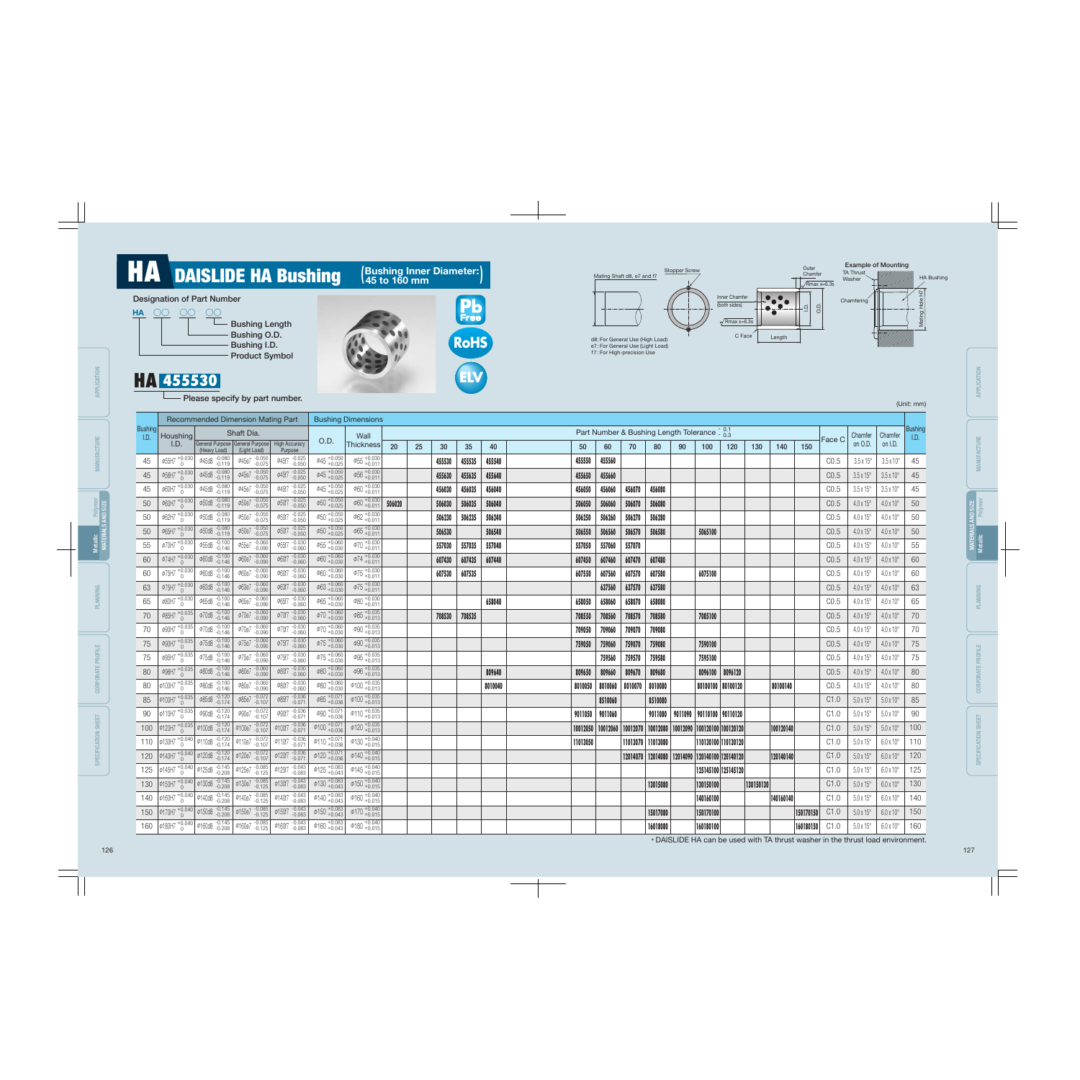\* DAISLIDE HA can be used with TA thrust washer in the thrust load environment.

|  | (Unit: mm) |
|--|------------|
|  |            |

#### Designation of Part Number





### Bushing Length Bushing O.D. Bushing I.D. Product Symbol

### <u>НА 455530</u>

- Please specify by part number.

Inner Chamfer (both sides)

Mating Shaft d8, e7 and f7

Stopper Screw

 $\sqrt{\text{Rmax x}=6.3s}$ 



d8 : For General Use (High Load) e7 : For General Use (Light Load) f7 : For High-precision Use



| 140       | 150       | Face C | Chamfer<br>on O.D.      | Chamfer<br>on I.D.      | <b>Bushing</b><br>I.D. |
|-----------|-----------|--------|-------------------------|-------------------------|------------------------|
|           |           | CO.5   | $3.5 \times 15^{\circ}$ | $3.5 \times 10^{\circ}$ | 45                     |
|           |           | CO.5   | $3.5 \times 15^{\circ}$ | $3.5 \times 10^{\circ}$ | 45                     |
|           |           | CO.5   | $3.5 \times 15^{\circ}$ | $3.5 \times 10^{\circ}$ | 45                     |
|           |           | CO.5   | $4.0 \times 15^{\circ}$ | $4.0 \times 10^{\circ}$ | 50                     |
|           |           | CO.5   | $4.0 \times 15^{\circ}$ | $4.0 \times 10^{\circ}$ | 50                     |
|           |           | CO.5   | $4.0 \times 15^{\circ}$ | $4.0 \times 10^{\circ}$ | 50                     |
|           |           | CO.5   | $4.0 \times 15^{\circ}$ | $4.0 \times 10^{\circ}$ | 55                     |
|           |           | CO.5   | $4.0 \times 15^{\circ}$ | $4.0 \times 10^{\circ}$ | 60                     |
|           |           | CO.5   | $4.0 \times 15^{\circ}$ | $4.0 \times 10^{\circ}$ | 60                     |
|           |           | CO.5   | $4.0 \times 15^{\circ}$ | $4.0 \times 10^{\circ}$ | 63                     |
|           |           | CO.5   | $4.0 \times 15^{\circ}$ | $4.0 \times 10^{\circ}$ | 65                     |
|           |           | CO.5   | $4.0 \times 15^{\circ}$ | $4.0 \times 10^{\circ}$ | 70                     |
|           |           | CO.5   | $4.0 \times 15^{\circ}$ | $4.0 \times 10^{\circ}$ | 70                     |
|           |           | CO.5   | $4.0 \times 15^{\circ}$ | $4.0 \times 10^{\circ}$ | 75                     |
|           |           | CO.5   | $4.0 \times 15^{\circ}$ | $4.0 \times 10^{\circ}$ | 75                     |
|           |           | CO.5   | $4.0 \times 15^{\circ}$ | $4.0 \times 10^{\circ}$ | 80                     |
| 80100140  |           | CO.5   | $4.0 \times 15^{\circ}$ | $4.0 \times 10^{\circ}$ | 80                     |
|           |           | C1.0   | $5.0 \times 15^{\circ}$ | $5.0 \times 10^{\circ}$ | 85                     |
|           |           | C1.0   | $5.0 \times 15^{\circ}$ | $5.0 \times 10^{\circ}$ | 90                     |
| 100120140 |           | C1.0   | $5.0 \times 15^{\circ}$ | $5.0 \times 10^{\circ}$ | 100                    |
|           |           | C1.0   | $5.0 \times 15^{\circ}$ | $6.0 \times 10^{\circ}$ | 110                    |
| 120140140 |           | C1.0   | $5.0 \times 15^{\circ}$ | $6.0 \times 10^{\circ}$ | 120                    |
|           |           | C1.0   | $5.0\times15^{\circ}$   | $6.0 \times 10^{\circ}$ | 125                    |
|           |           | C1.0   | $5.0 \times 15^{\circ}$ | $6.0 \times 10^{\circ}$ | 130                    |
| 140160140 |           | C1.0   | $5.0 \times 15^{\circ}$ | $6.0 \times 10^{\circ}$ | 140                    |
|           | 150170150 | C1.0   | $5.0 \times 15^{\circ}$ | $6.0 \times 10^{\circ}$ | 150                    |
|           | 160180150 | C1.0   | $5.0 \times 15^{\circ}$ | $6.0 \times 10^{\circ}$ | 160                    |

**ELV RoHS**

**Pb**<br>Free

### **HA** DAISLIDE HA Bushing

(Bushing Inner Diameter :

APPLICATION

MANUFACTURE

PLANNING

CORPORATE

SPECIF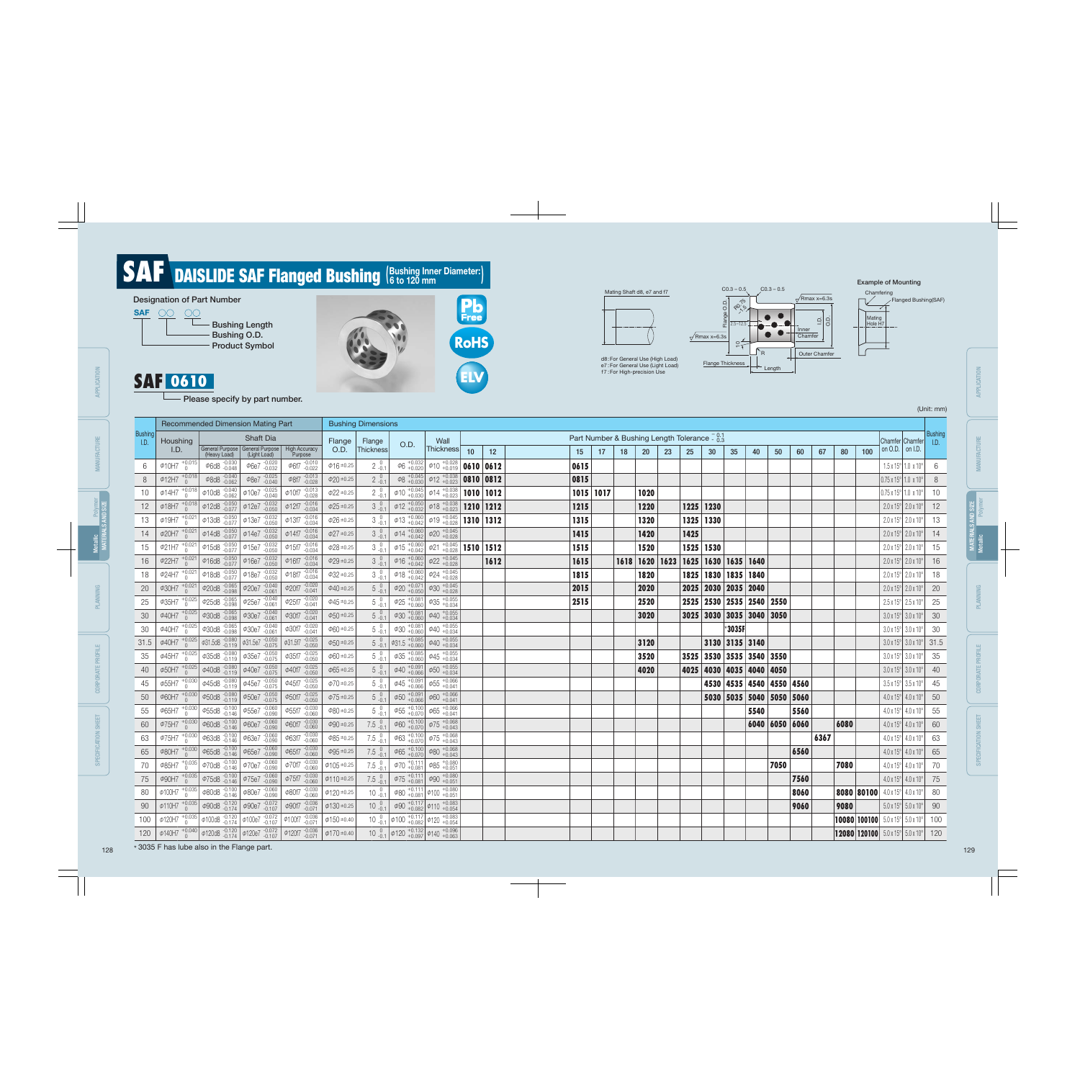



Please specify by part number.

Example of Mounting

(Unit: mm)

### (Bushing Inner Diameter : SAF DAISLIDE SAF Flanged Bushing (Bushing Inner Diameter:)

\* 3035 F has lube also in the Flange part. 128 129

CORPORATE PROFILE CORPORATE PROFILE SPECIFICATION SHEET SPECIFICATION SHEET

|                 |                                                                                                                                          |                                   | <b>Recommended Dimension Mating Part</b>                                                                                              |                                                                                                                                                              |                   | <b>Bushing Dimensions</b>                    |                                                                              |                                                                                                                                               |                 |      |           |    |    |                  |    |      |                                                          |          |                          |      |      |      |      |     |                                                                         |         |
|-----------------|------------------------------------------------------------------------------------------------------------------------------------------|-----------------------------------|---------------------------------------------------------------------------------------------------------------------------------------|--------------------------------------------------------------------------------------------------------------------------------------------------------------|-------------------|----------------------------------------------|------------------------------------------------------------------------------|-----------------------------------------------------------------------------------------------------------------------------------------------|-----------------|------|-----------|----|----|------------------|----|------|----------------------------------------------------------|----------|--------------------------|------|------|------|------|-----|-------------------------------------------------------------------------|---------|
| Bushing<br>I.D. | Houshing                                                                                                                                 |                                   | Shaft Dia                                                                                                                             |                                                                                                                                                              | Flange            | Flange                                       |                                                                              | Wall                                                                                                                                          |                 |      |           |    |    |                  |    |      | Part Number & Bushing Length Tolerance $\frac{0.1}{0.3}$ |          |                          |      |      |      |      |     | Chamfer Chamfer <sub>I.D.</sub>                                         | Bushing |
|                 | I.D.                                                                                                                                     | (Heavy Load)                      | General Purpose   General Purpose   High Accuracy<br>(Light Load)                                                                     | Purpose                                                                                                                                                      | O.D.              | Thickness                                    | O.D.                                                                         | Thickness                                                                                                                                     | 10 <sup>°</sup> | 12   | 15        | 17 | 18 | <b>20</b>        | 23 | 25   | 30                                                       | 35       | 40                       | 50   | 60   | 67   | 80   | 100 | on O.D. $\vert$ on I.D.                                                 |         |
| 6               | $\phi$ 10H7 $^{+0.015}_{0}$                                                                                                              | $\phi$ 6d8 $^{-.0.030}_{-.0.048}$ | $\phi$ 6e7 $_{-0.032}^{0.020}$                                                                                                        | $\phi$ 6f7 $_{-0.022}^{-0.010}$                                                                                                                              | $\phi$ 16 ±0.25   | $2^{0}_{-0.1}$                               | $\phi_6$ +0.032                                                              | $\phi$ 10 $^{+0.028}_{+0.019}$ 0610 0612                                                                                                      |                 |      | 0615      |    |    |                  |    |      |                                                          |          |                          |      |      |      |      |     | $1.5 \times 15^{\circ}$ 1.0 $\times 10^{\circ}$                         | 6       |
| 8               | $\Phi$ 12H7 $^{+0.018}_{0}$                                                                                                              | $\varphi$ 8d8 -0.040              | $\varPhi$ 8e7 $^{-.0.025}_{-.0.040}$                                                                                                  | $\phi$ 8f7 -0.013                                                                                                                                            | $\phi$ 20 ±0.25   | $2^{0}_{-0.1}$                               |                                                                              | $\left \phi\8right.^{+0.045}_{+0.030}\right $ $\left \phi\12right.^{+0.038}_{+0.023}\right $ 0810 0812                                        |                 |      | 0815      |    |    |                  |    |      |                                                          |          |                          |      |      |      |      |     | $0.75 \times 15^{\circ}$ 1.0 $\times 10^{\circ}$                        | 8       |
| 10              |                                                                                                                                          |                                   | $\phi$ 14H7 $^{+0.018}_{0}$ $\phi$ 10d8 $^{-0.040}_{-0.062}$ $\phi$ 10e7 $^{0.025}_{-0.040}$                                          | $\phi$ 10f7 $^{-.0.013}_{-.0.028}$                                                                                                                           | $\phi$ 22 ±0.25   | $2^{0}_{-0.1}$                               |                                                                              | $\phi$ 10 $^{+0.045}_{+0.030}$ $\phi$ 14 $^{+0.038}_{+0.023}$                                                                                 | 1010 1012       |      | 1015 1017 |    |    | 1020             |    |      |                                                          |          |                          |      |      |      |      |     | $0.75 \times 15^{\circ}$ 1.0 $\times 10^{\circ}$                        | 10      |
| 12              |                                                                                                                                          |                                   | $\phi$ 18H7 $^{+0.018}_{0}$ $\phi$ 12d8 $^{-0.050}_{-0.077}$ $\phi$ 12e7 $^{-0.032}_{-0.050}$                                         | $\phi$ 12f7 $^{-.0.016}_{-.0.034}$                                                                                                                           | $\phi25$ ±0.25    | $3^{0}_{-0.1}$                               |                                                                              | $\phi$ 12 + 0.050 $\phi$ 18 + 0.038                                                                                                           | 1210 1212       |      | 1215      |    |    | 1220             |    |      | 1225 1230                                                |          |                          |      |      |      |      |     | $2.0 \times 15^{\circ}$ 2.0 x 10°                                       | 12      |
| 13              | $\phi$ 19H7 $^{+0.021}_{0}$                                                                                                              |                                   | $\phi$ 13d8 $\frac{0.050}{0.077}$ $\phi$ 13e7 $\frac{0.032}{0.050}$                                                                   | $\phi$ 13f7 $^{-.0.016}_{-.0.034}$                                                                                                                           | $\phi$ 26 ±0.25   |                                              |                                                                              | $\phi$ 13 + 0.060 $\phi$ 19 + 0.045                                                                                                           | 1310 1312       |      | 1315      |    |    | 1320             |    |      | 1325 1330                                                |          |                          |      |      |      |      |     | $2.0 \times 15^{\circ}$ 2.0 x 10°                                       | 13      |
| 14              |                                                                                                                                          |                                   | $\phi$ 20H7 $^{+0.021}_{0}$ $\phi$ 14d8 $^{-0.050}_{-0.077}$ $\phi$ 14e7 $^{-0.032}_{-0.050}$                                         | $\phi$ 14f7 $^{-.0.016}_{-.0.034}$                                                                                                                           | $\phi27$ ±0.25    | $3^{0}_{-0.1}$                               |                                                                              | $\phi$ 14 + 0.060 $\phi$ 20 + 0.045                                                                                                           |                 |      | 1415      |    |    | 1420             |    | 1425 |                                                          |          |                          |      |      |      |      |     | $2.0 \times 15^{\circ}$ 2.0 x 10°                                       | 14      |
| 15              |                                                                                                                                          |                                   | $\phi$ 21H7 $^{+0.021}_{0}$ $\phi$ 15d8 $^{+0.050}_{-0.077}$ $\phi$ 15e7 $^{+0.032}_{-0.050}$                                         | $\phi$ 15f7 $_{-0.034}^{-0.016}$                                                                                                                             | $\phi28$ ±0.25    |                                              |                                                                              | $\phi$ 15 +0.060 $\phi$ 21 +0.045 <b>1510 1512</b>                                                                                            |                 |      | 1515      |    |    | 1520             |    |      | 1525 1530                                                |          |                          |      |      |      |      |     | $2.0 \times 15^{\circ}$ 2.0 x 10°                                       | 15      |
| 16              |                                                                                                                                          |                                   | $\phi$ 22H7 $^{+0.021}_{0}$ $\phi$ 16d8 $^{-0.050}_{-0.077}$ $\phi$ 16e7 $^{-0.032}_{-0.050}$                                         | $\phi$ 16f7 $^{-.0.016}_{-.0.034}$                                                                                                                           | $\phi29$ ±0.25    | $3^{0}_{-0.1}$                               |                                                                              | $\phi$ 16 + 0.060 $\phi$ 22 + 0.045                                                                                                           |                 | 1612 | 1615      |    |    | $1618$ 1620 1623 |    |      | 1625   1630   1635   1640                                |          |                          |      |      |      |      |     | $2.0 \times 15^{\circ}$ 2.0 x 10°                                       | 16      |
| 18              | $\phi$ 24H7 $^{+0.021}_{0}$                                                                                                              |                                   | $\phi$ 18d8 $\frac{-0.050}{-0.077}$ $\phi$ 18e7 $\frac{-0.032}{-0.050}$                                                               | $\phi$ 18f7 $^{-.0.016}_{-.0.034}$                                                                                                                           | $\phi32$ ±0.25    | $3^{0}_{-0.1}$                               |                                                                              | $\phi$ 18 + 0.060 $\phi$ 24 + 0.045                                                                                                           |                 |      | 1815      |    |    | 1820             |    |      | 1825   1830   1835   1840                                |          |                          |      |      |      |      |     | $2.0 \times 15^{\circ}$ 2.0 x 10°                                       | 18      |
| 20              | $\phi$ 30H7 $^{+0.021}_{0}$                                                                                                              |                                   | $\phi$ 20d8 $\frac{-0.065}{-0.098}$ $\phi$ 20e7 $\frac{-0.040}{-0.061}$                                                               | $\phi$ 20f7 $_{-0.041}^{-0.020}$                                                                                                                             | $\phi$ 40 ±0.25   | $5^{0}_{-0.1}$                               | $\phi$ 20 + 0.071                                                            | $\phi$ 30 $^{+0.045}_{+0.028}$                                                                                                                |                 |      | 2015      |    |    | 2020             |    |      | 2025   2030   2035   2040                                |          |                          |      |      |      |      |     | $2.0 \times 15^{\circ}$ 2.0 x 10°                                       | 20      |
| 25              | $\phi$ 35H7 $^{+0.025}_{0}$                                                                                                              |                                   | $\phi$ 25d8 $\frac{-0.065}{-0.098}$ $\phi$ 25e7 $\frac{-0.040}{-0.061}$                                                               | $\phi$ 25f7 $_{-0.041}^{-0.020}$                                                                                                                             | $\phi$ 45 ±0.25   | $5\,{}^{0}_{-0.1}$                           | $\phi$ 25 + 0.081                                                            | $\phi$ 35 $^{+0.055}_{+0.034}$                                                                                                                |                 |      | 2515      |    |    | 2520             |    |      | 2525   2530   2535   2540   2550                         |          |                          |      |      |      |      |     | $2.5 \times 15^{\circ}$ 2.5 x 10°                                       | 25      |
| 30              | $\phi$ 40H7 $^{+0.025}_{0}$                                                                                                              |                                   | $\phi$ 30d8 $\frac{0.065}{0.098}$ $\phi$ 30e7 $\frac{0.040}{0.061}$                                                                   | $\phi$ 30f7 $_{-0.041}^{-0.020}$                                                                                                                             | $\phi$ 50 ±0.25   | $5^{0}_{-0.1}$                               | $\phi$ 30 $^{+0.081}_{+0.060}$                                               | $\phi$ 40 $^{+0.055}_{+0.034}$                                                                                                                |                 |      |           |    |    | 3020             |    |      | 3025 3030 3035 3040 3050                                 |          |                          |      |      |      |      |     | $3.0 \times 15^{\circ}$ 3.0 x 10°                                       | 30      |
| $30\,$          | $\phi$ 40H7 $^{+0.025}_{0}$                                                                                                              |                                   | $\left  \begin{array}{ccc} \phi 30d8 & -0.065 \\ -0.098 & 0.067 \end{array} \right $                                                  | $\phi$ 30f7 $^{-.0.020}_{-.0.041}$                                                                                                                           | $\phi$ 60 ±0.25   | $5\,{}^{0}_{-0.1}$                           |                                                                              | $\phi$ 30 $^{+0.081}_{+0.060}$ $\phi$ 40 $^{+0.055}_{+0.034}$                                                                                 |                 |      |           |    |    |                  |    |      |                                                          | $*3035F$ |                          |      |      |      |      |     | $3.0 \times 15^{\circ}$ 3.0 x 10°                                       | 30      |
| 31.5            |                                                                                                                                          |                                   | $\phi$ 40H7 $^{+0.025}_{0}$ $\phi$ 31.5d8 $^{-0.080}_{-0.119}$ $\phi$ 31.5e7 $^{-0.050}_{-0.075}$                                     | $\phi$ 31.5f7 $^{-.0.025}_{-.0.050}$                                                                                                                         | $\phi$ 50 ±0.25   |                                              | $5\begin{array}{c} 0.1 \\ -0.1 \end{array}$ $\phi$ 31.5 $^{+0.085}_{+0.060}$ | $\phi$ 40 $^{+0.055}_{+0.034}$                                                                                                                |                 |      |           |    |    | 3120             |    |      | 3130 3135 3140                                           |          |                          |      |      |      |      |     | $3.0 \times 15^{\circ}$ 3.0 x 10° 31.5                                  |         |
| 35              |                                                                                                                                          |                                   | $\phi$ 45H7 $^{+0.025}_{0}$ $\phi$ 35d8 $^{-0.080}_{-0.119}$ $\phi$ 35e7 $^{-0.050}_{-0.075}$                                         | $\varphi$ 35f7 -0.025                                                                                                                                        | $\phi$ 60 ±0.25   | $5^{0}_{-0.1}$                               |                                                                              | $\phi$ 35 + 0.085 $\phi$ 45 + 0.055                                                                                                           |                 |      |           |    |    | 3520             |    |      | 3525 3530 3535 3540 3550                                 |          |                          |      |      |      |      |     | $3.0 \times 15^{\circ}$ 3.0 x 10°                                       | 35      |
| 40              | $\Phi$ 50H7 $^{+0.025}_{0}$                                                                                                              |                                   | $\phi$ 40d8 $\frac{-0.080}{-0.119}$ $\phi$ 40e7 $\frac{-0.050}{-0.075}$                                                               | $\phi$ 40f7 $^{-.0.025}_{-.0.050}$                                                                                                                           | $\phi$ 65 ±0.25   | $5^{0}_{-0.1}$                               | $\phi$ 40 + 0.091                                                            | $\Phi$ 50 $^{+0.055}_{+0.034}$                                                                                                                |                 |      |           |    |    | 4020             |    |      | 4025   4030   4035   4040   4050                         |          |                          |      |      |      |      |     | $3.0 \times 15^{\circ}$ 3.0 x 10°                                       | 40      |
| 45              |                                                                                                                                          |                                   | $\phi$ 55H7 $^{+0.030}_{0}$ $\phi$ 45d8 $^{-0.080}_{-0.119}$ $\phi$ 45e7 $^{-0.050}_{-0.075}$                                         | $\phi$ 45f7 $_{-0.050}^{+0.025}$                                                                                                                             | $\phi$ 70 ±0.25   | $5\,{}^{0}_{-0.1}$                           | $\left  \phi 45 \right _{+0.066}^{+0.091}$                                   | $\Phi$ 55 $^{+0.066}_{+0.041}$                                                                                                                |                 |      |           |    |    |                  |    |      |                                                          |          | 4530 4535 4540 4550 4560 |      |      |      |      |     | $3.5 \times 15^{\circ}$ 3.5 x 10°                                       | 45      |
| 50              | $\phi$ 60H7 +0.030                                                                                                                       |                                   | $\phi$ 50d8 $\frac{.0.080}{.0.119}$ $\phi$ 50e7 $\frac{.0.050}{.0.075}$                                                               | $\phi$ 50f7 $^{-.0.025}_{-.0.050}$                                                                                                                           | $\phi$ 75 ±0.25   | $5^{0}_{-0.1}$                               | $\phi$ 50 $^{+0.091}_{+0.066}$                                               | $\phi$ 60 $^{+0.066}_{+0.041}$                                                                                                                |                 |      |           |    |    |                  |    |      | 5030 5035 5040 5050 5060                                 |          |                          |      |      |      |      |     | $4.0 \times 15^{\circ}$ 4.0 x 10°                                       | 50      |
| 55              |                                                                                                                                          |                                   | $\phi$ 65H7 $^{+0.030}_{0}$ $\phi$ 55d8 $^{-0.100}_{-0.146}$ $\phi$ 55e7 $^{-0.060}_{-0.090}$                                         | $\phi$ 55f7 $^{-.0.030}_{-.0.060}$                                                                                                                           | $\phi$ 80 ±0.25   | $5\,{}^{0}_{-0.1}$                           |                                                                              | $\phi$ 55 $^{+0.100}_{+0.070}$ $\phi$ 65 $^{+0.066}_{+0.041}$                                                                                 |                 |      |           |    |    |                  |    |      |                                                          |          | 5540                     |      | 5560 |      |      |     | $4.0 \times 15^{\circ}$ 4.0 x 10°                                       | 55      |
| 60              | $\Phi$ 75H7 $^{+0.030}_{0}$                                                                                                              |                                   | $\phi$ 60d8 -0.100 $\phi$ 60e7 -0.060                                                                                                 | $\phi$ 60f7 -0.030                                                                                                                                           | $\phi$ 90 ±0.25   | $7.5^{0}_{-0.1}$                             |                                                                              | $\phi$ 60 $^{+0.100}_{+0.070}$ $\phi$ 75 $^{+0.068}_{+0.043}$                                                                                 |                 |      |           |    |    |                  |    |      |                                                          |          | 6040   6050   6060       |      |      |      | 6080 |     | $4.0 \times 15^{\circ}$ 4.0 x 10°                                       | 60      |
| 63              |                                                                                                                                          |                                   | $\phi$ 75H7 $^{+0.030}_{0}$ $\phi$ 63d8 $^{-0.100}_{-0.146}$ $\phi$ 63e7 $^{-0.060}_{-0.090}$                                         | $\phi$ 63f7 -0.030                                                                                                                                           | $\phi$ 85 ±0.25   | $7.5\begin{array}{c} 0 \\ -0.1 \end{array}$  |                                                                              | $\phi$ 63 + 0.100 $\phi$ 75 + 0.068                                                                                                           |                 |      |           |    |    |                  |    |      |                                                          |          |                          |      |      | 6367 |      |     | $4.0 \times 15^{\circ}$ 4.0 x 10°                                       | 63      |
| 65              | $\phi$ 80H7 $^{+0.030}_{0}$                                                                                                              |                                   | $\phi$ 65d8 -0.100 $\phi$ 65e7 -0.060                                                                                                 | $\phi$ 65f7 -0.030                                                                                                                                           | $\phi$ 95 ±0.25   | $7.5 \begin{array}{c} 0 \\ -0.1 \end{array}$ |                                                                              | $\phi$ 65 + 0.100 $\phi$ 80 + 0.068                                                                                                           |                 |      |           |    |    |                  |    |      |                                                          |          |                          |      | 6560 |      |      |     | $4.0 \times 15^{\circ}$ 4.0 x 10° 65                                    |         |
|                 |                                                                                                                                          |                                   |                                                                                                                                       |                                                                                                                                                              |                   |                                              |                                                                              |                                                                                                                                               |                 |      |           |    |    |                  |    |      |                                                          |          |                          | 7050 |      |      | 7080 |     | $4.0 \times 15^{\circ}$ 4.0 x 10°   70                                  |         |
| 75              |                                                                                                                                          |                                   |                                                                                                                                       | $\phi$ 90H7 $^{+0.035}_{0}$ $\phi$ 75d8 $^{-.0.100}_{-.0.146}$ $\phi$ 75e7 $^{-.0.060}_{-.0.090}$ $\phi$ 75f7 $^{-.0.030}_{-.0.060}$                         | $ \phi$ 110 ±0.25 |                                              |                                                                              | 7.5 $\begin{array}{ c c c c c }\hline 0 & \phi & 75 & +0.111 & \phi & 90 & +0.080 \ \hline & 0.051 & \phi & 90 & +0.051 & \hline \end{array}$ |                 |      |           |    |    |                  |    |      |                                                          |          |                          |      | 7560 |      |      |     | $4.0 \times 15^{\circ}$ 4.0 x 10° 75                                    |         |
| 80              |                                                                                                                                          |                                   | $\phi$ 100H7 $^{+0.035}_{0}$ $\phi$ 80d8 $^{-.0.100}_{-.0.146}$ $\phi$ 80e7 $^{-.0.060}_{-.0.090}$ $\phi$ 80f7 $^{-.0.030}_{-.0.060}$ |                                                                                                                                                              | $\phi$ 120 ±0.25  |                                              |                                                                              | $10^{-0}$ $^{1}_{0.1}$ $\phi$ 80 $^{+0.111}_{+0.081}$ $\phi$ 100 $^{+0.080}_{+0.051}$                                                         |                 |      |           |    |    |                  |    |      |                                                          |          |                          |      | 8060 |      |      |     | <b>8080 80100</b> 4.0 x 15° 4.0 x 10° 60                                |         |
| 90              | $\phi$ 110H7 $^{+0.035}_{0}$ $\phi$ 90d8 $^{-.0.120}_{-.0.174}$ $\phi$ 90e7 $^{-.0.072}_{-.0.107}$ $\phi$ 90f7 $^{-.0.036}_{-.0.071}$    |                                   |                                                                                                                                       |                                                                                                                                                              | $\phi$ 130 ±0.25  |                                              |                                                                              | $10^{0}_{0.1}$ $\phi$ 90 $^{+0.117}_{+0.082}$ $\phi$ 110 $^{+0.083}_{+0.054}$                                                                 |                 |      |           |    |    |                  |    |      |                                                          |          |                          |      | 9060 |      | 9080 |     | $5.0 \times 15^{\circ}$ 5.0 x 10° 90                                    |         |
| 100             | $\phi$ 120H7 $^{+0.035}_{0}$ $\phi$ 100d8 $^{-.0.120}_{-.0.174}$ $\phi$ 100e7 $^{-.0.072}_{-.0.107}$ $\phi$ 100f7 $^{-.0.036}_{-.0.071}$ |                                   |                                                                                                                                       |                                                                                                                                                              | $\phi$ 150 ±0.40  |                                              |                                                                              | $10^{-0}$ <sub>-0.1</sub> $\phi$ 100 $^{+0.117}_{+0.082}$ $\phi$ 120 $^{+0.083}_{+0.054}$                                                     |                 |      |           |    |    |                  |    |      |                                                          |          |                          |      |      |      |      |     | <b>10080 100100</b> $5.0 \times 15^{\circ}$ $5.0 \times 10^{\circ}$ 100 |         |
|                 |                                                                                                                                          |                                   |                                                                                                                                       | 120 $\phi$ 140H7 $^{+0.040}_{0}$ $\phi$ 120d8 $^{-0.120}_{-0.174}$ $\phi$ 120e7 $^{-0.072}_{-0.107}$ $\phi$ 120f7 $^{-0.036}_{-0.071}$ $\phi$ 170 $\pm$ 0.40 |                   |                                              |                                                                              | $10_{-0.1}^{0}$ $\phi$ 120 $^{+0.132}_{+0.097}$ $\phi$ 140 $^{+0.096}_{+0.063}$                                                               |                 |      |           |    |    |                  |    |      |                                                          |          |                          |      |      |      |      |     | <b>12080 120100</b> $5.0 \times 15^{\circ}$ $5.0 \times 10^{\circ}$ 120 |         |

APPLICATION

APPLICATION

PLANNING

APPLICATION

APPLICATION

MANUFACTURE

**MANUFACTURE** 

PLANNING

CORPORATE PROFILE

CORPORATE PROFILE

SPECIFICATION SHEET

SPECIFICATION SHEET

MATERIALS AND SIZE

Polyme<br>AND SIZE

Metallic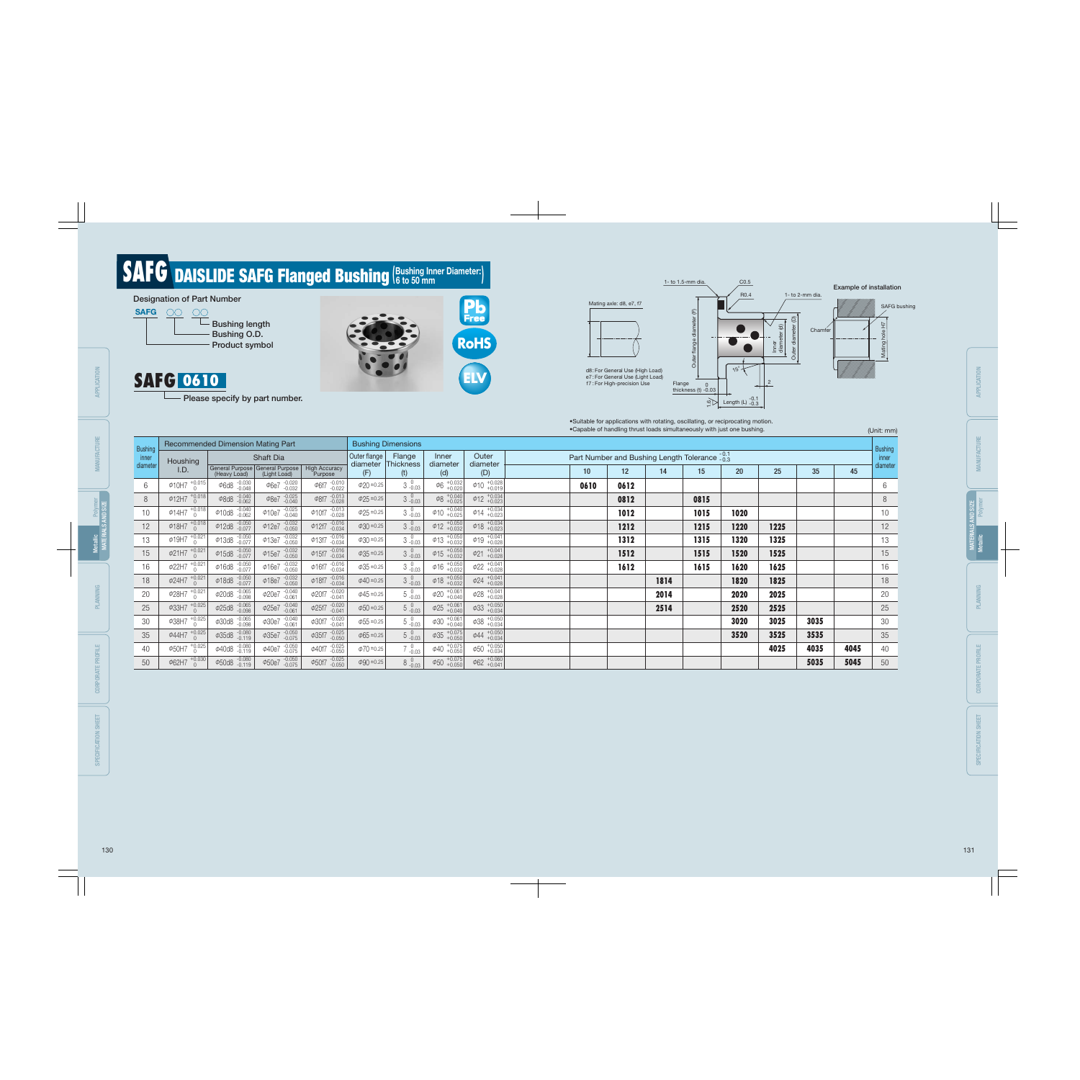|                 |                                |                                       |                                                 |                                     |                 |                           |                                            |                                |                 |                 |      |                                                            | •Capable of handling thrust loads simultaneously with just one bushing. |                 |      |      | (Unit: mm)      |
|-----------------|--------------------------------|---------------------------------------|-------------------------------------------------|-------------------------------------|-----------------|---------------------------|--------------------------------------------|--------------------------------|-----------------|-----------------|------|------------------------------------------------------------|-------------------------------------------------------------------------|-----------------|------|------|-----------------|
| <b>Bushing</b>  |                                | Recommended Dimension Mating Part     |                                                 |                                     |                 | <b>Bushing Dimensions</b> |                                            |                                |                 |                 |      |                                                            |                                                                         |                 |      |      | <b>Bushing</b>  |
| inner           | Houshing                       |                                       | Shaft Dia                                       |                                     | Outer flange    | Flange                    | Inner                                      | Outer                          |                 |                 |      | Part Number and Bushing Length Tolerance $\frac{0.1}{0.3}$ |                                                                         |                 |      |      | inner           |
| diameter        | I.D.                           | (Heavy Load)                          | General Purpose General Purpose<br>(Light Load) | <b>High Accuracy</b><br>Purpose     | diameter<br>(F) | Thickness<br>(t)          | diameter<br>(d)                            | diameter<br>(D)                | 10 <sup>°</sup> | 12 <sup>2</sup> | 14   | 15                                                         | 20                                                                      | 25 <sub>2</sub> | 35   | 45   | diameter        |
| $6\phantom{.}6$ | $\phi$ 10H7 $\frac{10.015}{0}$ | $\Phi$ 6d8 $-0.030$                   | $\phi$ 6e7 $^{-.0.020}_{-.0.032}$               | $\phi$ 6f7 -0.010                   | $\phi$ 20 ±0.25 | $3\,$ -0.03               | $\phi_6$ +0.032                            | $\phi$ 10 $^{+0.028}_{+0.019}$ | 0610            | 0612            |      |                                                            |                                                                         |                 |      |      | 6               |
| 8               | $\phi$ 12H7 $^{+0.018}_{0}$    | $\varphi$ 8d8 $^{-0.040}_{-0.062}$    | $\phi$ 8e7 $^{-.0.025}_{-.0.040}$               | $\varphi$ 8f7 $-0.013$              | $\phi$ 25 ±0.25 | $3\,$ -0.03               | $\left  \phi 8 \right _{+0.025}^{+0.040}$  | $\phi$ 12 $^{+0.034}_{+0.023}$ |                 | 0812            |      | 0815                                                       |                                                                         |                 |      |      | $8\,$           |
| 10              | $\phi$ 14H7 $^{+0.018}_{0}$    | $\phi$ 10d8 $^{-0.040}_{-0.062}$      | $\phi$ 10e7 $^{-.0.025}_{-.0.040}$              | $\phi$ 10f7 $_{-0.028}^{-0.013}$    | $\phi$ 25 ±0.25 | $3^{0}_{-0.03}$           | $\phi$ 10 +0.040                           | $\phi$ 14 $^{+0.034}_{+0.023}$ |                 | 1012            |      | 1015                                                       | 1020                                                                    |                 |      |      | 10 <sup>°</sup> |
| 12              | $\phi$ 18H7 $^{+0.018}_{0}$    | $\phi$ 12d8 -0.050                    | $\phi$ 12e7 $^{-.0.032}_{-.0.050}$              | $\phi$ 12f7 $_{-0.034}^{-0.016}$    | $\phi$ 30 ±0.25 | $3\,{}^{0}_{-0.03}$       | $\phi$ 12 +0.050                           | $\phi$ 18 $^{+0.034}_{+0.023}$ |                 | 1212            |      | 1215                                                       | 1220                                                                    | 1225            |      |      | 12              |
| 13              | $\phi$ 19H7 $^{+0.021}_{0}$    | $\varphi$ 13d8 $^{-0.050}_{-0.077}$   | $\phi$ 13e7 $_{-0.050}^{-0.032}$                | $\phi$ 13f7 $_{-0.034}^{-0.016}$    | $\phi$ 30 ±0.25 | $3^{0}_{-0.03}$           | $\phi$ 13 +0.050                           | $\phi$ 19 $^{+0.041}_{+0.028}$ |                 | 1312            |      | 1315                                                       | 1320                                                                    | 1325            |      |      | 13              |
| 15              | $\phi$ 21H7 $^{+0.021}_{0}$    | $\varphi$ 15d8 $^{-.0.050}_{-.0.077}$ | $\phi$ 15e7 $_{-0.050}^{+0.032}$                | $\phi$ 15f7 $_{-0.034}^{-0.016}$    | $\phi$ 35 ±0.25 | $3\,{}^{0}_{-0.03}$       | $\phi$ 15 +0.050                           | $\phi$ 21 +0.041               |                 | 1512            |      | 1515                                                       | 1520                                                                    | 1525            |      |      | 15              |
| 16              | $\phi$ 22H7 $^{+0.021}_{0}$    | $\phi$ 16d8 $^{-0.050}_{-0.077}$      | $\phi$ 16e7 $_{-0.050}^{0.032}$                 | $\phi$ 16f7 $_{-0.034}^{-0.016}$    | $\phi$ 35 ±0.25 | $3\,$ $^{0}_{-0.03}$      | $\phi$ 16 +0.050                           | $\phi$ 22 +0.041               |                 | 1612            |      | 1615                                                       | 1620                                                                    | 1625            |      |      | 16              |
| 18              | $\phi$ 24H7 $^{+0.021}_{0}$    | $\varphi$ 18d8 $^{-0.050}_{-0.077}$   | $\phi$ 18e7 $_{-0.050}^{0.032}$                 | $\phi$ 18f7 $_{-0.034}^{-0.016}$    | $\phi$ 40 ±0.25 | $3^{0}_{-0.03}$           | $\phi$ 18 +0.050                           | $\phi$ 24 + 0.041              |                 |                 | 1814 |                                                            | 1820                                                                    | 1825            |      |      | 18              |
| 20              | $\phi$ 28H7 $^{+0.021}_{0}$    | $\phi$ 20d8 $^{-.0.065}_{-.0.098}$    | $\varphi$ 20e7 $^{-.0.040}_{-.0.061}$           | $\phi$ 20f7 $^{-.0.020}_{-.0.041}$  | $\phi$ 45 ±0.25 | $5^{0}_{-0.03}$           | $\phi$ 20 + 0.061                          | $\phi$ 28 $^{+0.041}_{+0.028}$ |                 |                 | 2014 |                                                            | 2020                                                                    | 2025            |      |      | 20              |
| 25              | $\phi$ 33H7 $^{+0.025}_{0}$    | $\varphi$ 25d8 $^{-0.065}_{-0.098}$   | $\phi$ 25e7 $^{-.0.040}_{-.0.061}$              | $\phi$ 25f7 $^{-.0.020}_{-.0.041}$  | $\phi$ 50 ±0.25 | $5\,{}^{0}_{-0.03}$       | $\phi$ 25 +0.061                           | $\phi$ 33 +0.050               |                 |                 | 2514 |                                                            | 2520                                                                    | 2525            |      |      | 25              |
| 30              | $\phi$ 38H7 $^{+0.025}_{0}$    | $\varphi$ 30d8 $^{-.0.065}_{-.0.098}$ | $\varphi$ 30e7 $_{-0.061}^{0.040}$              | $\varphi$ 30f7 $^{-0.020}_{-0.041}$ | $\phi$ 55 ±0.25 | $5^{0}_{-0.03}$           | $+0.061$<br>$\phi$ 30 $^{+0.001}_{+0.040}$ | $\phi$ 38 +0.050               |                 |                 |      |                                                            | 3020                                                                    | 3025            | 3035 |      | 30              |
| 35              | $\phi$ 44H7 $^{+0.025}_{0}$    | $\varphi$ 35d8 $^{-0.080}_{-0.119}$   | $\varphi$ 35e7 $^{-.0.050}_{-.0.075}$           | $\varphi$ 35f7 $^{-0.025}_{-0.050}$ | $\phi$ 65 ±0.25 | $5^{0}_{-0.03}$           | $\varphi$ 35 +0.075                        | $\phi$ 44 $^{+0.050}_{+0.034}$ |                 |                 |      |                                                            | 3520                                                                    | 3525            | 3535 |      | 35              |
| 40              | $\phi$ 50H7 $^{+0.025}_{0}$    | $\varphi$ 40d8 $^{-0.080}_{-0.119}$   | $\varphi$ 40e7 -0.050                           | $\phi$ 40f7 $^{-.0.025}_{-.0.050}$  | $\phi$ 70 ±0.25 | $7^{0}_{-0.03}$           | $\phi$ 40 + 0.075                          | $\phi$ 50 $^{+0.050}_{+0.034}$ |                 |                 |      |                                                            |                                                                         | 4025            | 4035 | 4045 | 40              |
| 50              | $+0.030$<br>Φ62H7              | $\Phi$ 50d8 $^{-0.080}_{-0.119}$      | $\varphi$ 50e7 -0.050                           | $\phi$ 50f7 $_{-0.050}^{-0.025}$    | $\phi$ 90 ±0.25 | $8^{0}_{-0.03}$           | $\phi$ 50 $^{+0.075}_{+0.050}$             | $\phi$ 62 +0.060               |                 |                 |      |                                                            |                                                                         |                 | 5035 | 5045 | 50              |

Example of installation

# **SAFG DAISLIDE SAFG Flanged Bushing (Bushing Inner Diameter:)**



- Please specify by part number.

C0.5

 $15^{\circ}$ 





1- to 1.5-mm dia.

•Suitable for applications with rotating, oscillating, or reciprocating motion. •Capable of handling thrust loads simultaneously with just one bushing.

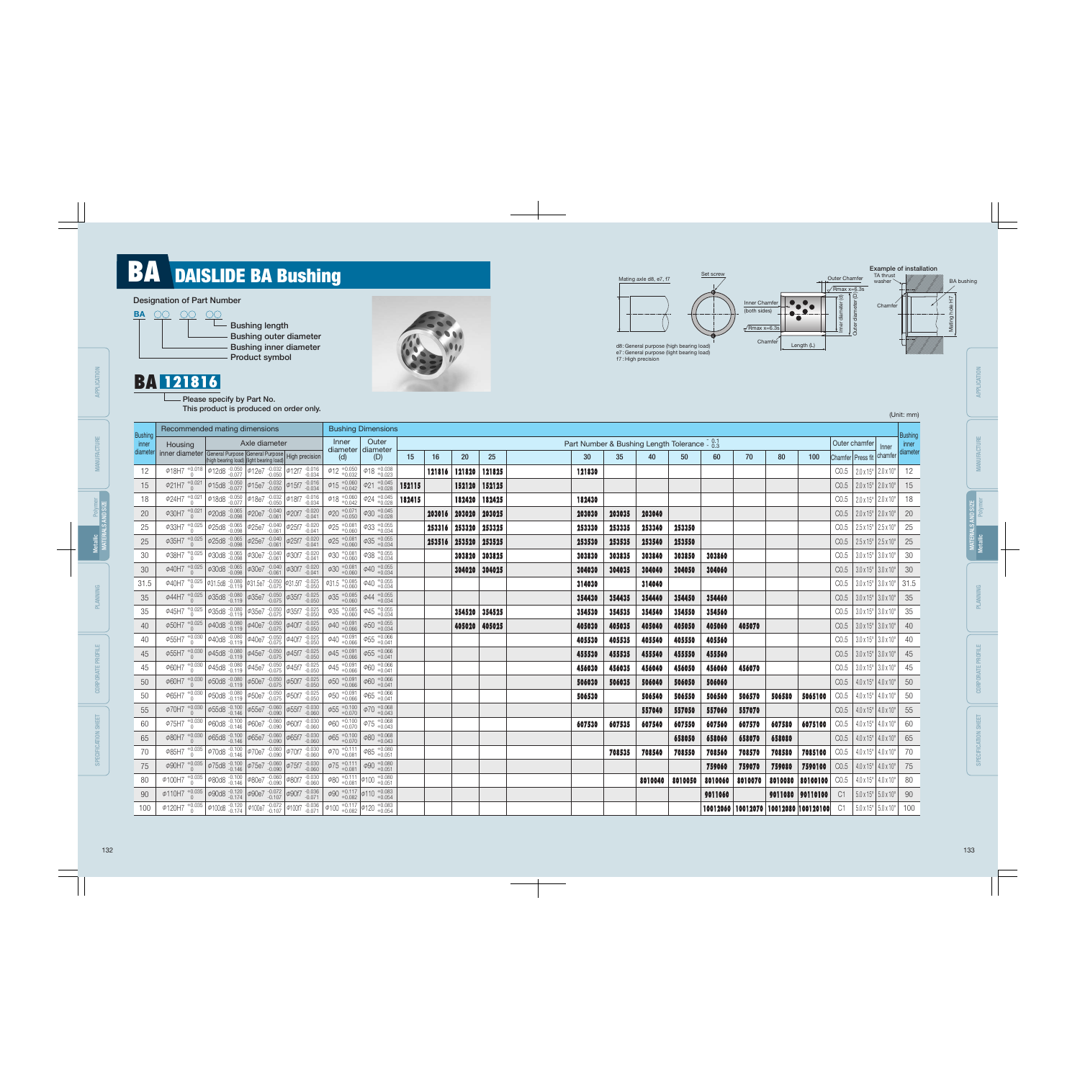# **BA** DAISLIDE BA Bushing

### Designation of Part Number



**Bushing length** Bushing outer diameter Bushing inner diameter Product symbol

- Please specify by Part No. This product is produced on order only.



### BA 121816



| (Unit: mm) |  |
|------------|--|
|------------|--|

| ı           |
|-------------|
| ï           |
|             |
| í           |
| í<br>ı<br>ī |
| ٠<br>ı      |
| í           |
|             |
| í           |
| ı           |
|             |
|             |
|             |
|             |

SPECIFICATION SHEET SPECIFICATION SHEET

| <b>Bushing</b> | Recommended mating dimensions                                                                                                                                                                            |                                                                                                                                                                                                                                                                                                                     |               |  |                                  | <b>Bushing Dimensions</b>                                      |        |        |               |               |        |        |                                                          |         |         |         |        |                                                 |      |                                                  |                                          | Bushing |
|----------------|----------------------------------------------------------------------------------------------------------------------------------------------------------------------------------------------------------|---------------------------------------------------------------------------------------------------------------------------------------------------------------------------------------------------------------------------------------------------------------------------------------------------------------------|---------------|--|----------------------------------|----------------------------------------------------------------|--------|--------|---------------|---------------|--------|--------|----------------------------------------------------------|---------|---------|---------|--------|-------------------------------------------------|------|--------------------------------------------------|------------------------------------------|---------|
| inner          | Housing                                                                                                                                                                                                  |                                                                                                                                                                                                                                                                                                                     | Axle diameter |  | Inner                            | Outer<br>$diameter$ diameter                                   |        |        |               |               |        |        | Part Number & Bushing Length Tolerance $\frac{0.1}{0.3}$ |         |         |         |        |                                                 |      | Outer chamfer                                    | Inner                                    | inner   |
|                | inner diameter General Purpose General Purpose High precision<br>(high bearing load) (light bearing load)                                                                                                |                                                                                                                                                                                                                                                                                                                     |               |  | (d)                              | (D)                                                            | 15     | 16     | 20            | 25            | 30     | 35     | 40                                                       | 50      | 60      | 70      | 80     | 100                                             |      | Chamfer Press fit chamfer diameter               |                                          |         |
| 12             |                                                                                                                                                                                                          | $\phi$ 18H7 $^{+0.018}_{0}$ $\phi$ 12d8 $^{-.0.050}_{-.0.077}$ $\phi$ 12e7 $^{-.0.032}_{-.0.050}$ $\phi$ 12f7 $^{-.0.016}_{-.0.034}$                                                                                                                                                                                |               |  | $\phi$ 12 +0.050                 | $\phi$ 18 $^{+0.038}_{+0.023}$                                 |        |        | 121816 121820 | 121825        | 121830 |        |                                                          |         |         |         |        |                                                 | CO.5 | $2.0 \times 15^{\circ}$ 2.0 x 10°                |                                          | 12      |
| 15             |                                                                                                                                                                                                          | $\phi$ 21H7 $^{+0.021}_{0}$ $\phi$ 15d8 $^{+0.050}_{-0.077}$ $\phi$ 15e7 $^{+0.032}_{-0.050}$ $\phi$ 15f7 $^{+0.016}_{-0.034}$                                                                                                                                                                                      |               |  | $\phi$ 15 +0.060                 | $\varphi$ 21 $^{+0.045}_{+0.028}$                              | 152115 |        |               | 152120 152125 |        |        |                                                          |         |         |         |        |                                                 |      | $CO.5$   2.0 x 15°   2.0 x 10°                   |                                          | 15      |
| 18             | $\phi$ 24H7 $^{+0.021}_{0}$                                                                                                                                                                              | $\phi$ 18d8 $\frac{0.050}{0.077}$ $\phi$ 18e7 $\frac{0.032}{0.050}$ $\phi$ 18f7 $\frac{0.016}{0.034}$                                                                                                                                                                                                               |               |  | $\phi$ 18 $^{+0.060}_{+0.042}$   | $\phi$ 24 $^{+0.045}_{+0.028}$                                 | 182415 |        | 182420        | 182425        | 182430 |        |                                                          |         |         |         |        |                                                 | CO.5 |                                                  | $2.0 \times 15^{\circ}$ 2.0 x 10°        | 18      |
| 20             |                                                                                                                                                                                                          | $\phi$ 30H7 $^{+0.021}_{0}$ $\phi$ 20d8 $^{-0.065}_{-0.098}$ $\phi$ 20e7 $^{-0.040}_{-0.061}$ $\phi$ 20f7 $^{-0.020}_{-0.041}$                                                                                                                                                                                      |               |  | $\phi$ 20 + 0.071                | $\phi$ 30 $^{+0.045}_{+0.028}$                                 |        |        | 203016 203020 | 203025        | 203030 | 203035 | 203040                                                   |         |         |         |        |                                                 | CO.5 | $2.0 \times 15^{\circ}$ 2.0 x 10°                |                                          | 20      |
| 25             |                                                                                                                                                                                                          | $\frac{1}{4}$ $\frac{1}{4}$ $\frac{1}{2}$ $\frac{1}{4}$ $\frac{1}{2}$ $\frac{1}{4}$ $\frac{1}{2}$ $\frac{1}{2}$ $\frac{1}{4}$ $\frac{1}{2}$ $\frac{1}{4}$ $\frac{1}{2}$ $\frac{1}{4}$ $\frac{1}{2}$ $\frac{1}{2}$ $\frac{1}{2}$ $\frac{1}{2}$ $\frac{1}{2}$ $\frac{1}{2}$ $\frac{1}{2}$ $\frac{1}{2}$ $\frac{1}{2}$ |               |  | $\phi$ 25 + 0.081                | $\phi$ 33 $^{+0.055}_{+0.034}$                                 |        |        | 253316 253320 | 253325        | 253330 | 253335 | 253340                                                   | 253350  |         |         |        |                                                 | CO.5 | $2.5 \times 15^{\circ}$ 2.5 x 10°                |                                          | 25      |
| 25             |                                                                                                                                                                                                          | $\phi$ 35H7 $^{+0.025}_{0}$ $\phi$ 25d8 $^{-0.065}_{-0.098}$ $\phi$ 25e7 $^{-0.040}_{-0.061}$ $\phi$ 25f7 $^{-0.020}_{-0.041}$                                                                                                                                                                                      |               |  | $\phi 25$ $^{+0.081}_{+0.060}$   | $\phi$ 35 +0.055                                               |        | 253516 | 253520        | 253525        | 253530 | 253535 | 253540                                                   | 253550  |         |         |        |                                                 | CO.5 |                                                  | $2.5 \times 15^{\circ}$ 2.5 x 10°        | 25      |
| 30             |                                                                                                                                                                                                          | $\phi$ 38H7 $^{+0.025}_{0}$ $\phi$ 30d8 $^{-0.065}_{-0.098}$ $\phi$ 30e7 $^{-0.040}_{-0.061}$ $\phi$ 30f7 $^{-0.020}_{-0.041}$                                                                                                                                                                                      |               |  | $\phi$ 30 $^{+0.081}_{+0.060}$   | $\phi$ 38 +0.055                                               |        |        | 303820        | 303825        | 303830 | 303835 | 303840                                                   | 303850  | 303860  |         |        |                                                 | CO.5 | $3.0 \times 15^{\circ}$ 3.0 x 10°                |                                          | 30      |
| 30             |                                                                                                                                                                                                          | $\phi$ 40H7 $^{+0.025}_{0}$ $\phi$ 30d8 $^{+0.065}_{-0.098}$ $\phi$ 30e7 $^{+0.040}_{-0.061}$ $\phi$ 30f7 $^{+0.020}_{-0.041}$                                                                                                                                                                                      |               |  | $\phi$ 30 +0.081                 | $\phi$ 40 $^{+0.055}_{+0.034}$                                 |        |        | 304020        | 304025        | 304030 | 304035 | 304040                                                   | 304050  | 304060  |         |        |                                                 | CO.5 | $3.0 \times 15^{\circ}$ 3.0 x 10°                |                                          | 30      |
| 31.5           |                                                                                                                                                                                                          | $\phi$ 40H7 $^{+0.025}_{0}$ $\phi$ 31.5d8 $^{-0.080}_{-0.119}$ $\phi$ 31.5e7 $^{-0.050}_{-0.075}$ $\phi$ 31.5f7 $^{-0.025}_{-0.050}$                                                                                                                                                                                |               |  | $\phi$ 31.5 $^{+0.085}_{+0.060}$ | $\phi$ 40 $^{+0.055}_{+0.034}$                                 |        |        |               |               | 314030 |        | 314040                                                   |         |         |         |        |                                                 | CO.5 |                                                  | $3.0 \times 15^{\circ}$ 3.0 x 10°   31.5 |         |
| 35             |                                                                                                                                                                                                          | $\phi$ 44H7 $^{+0.025}_{0}$ $\phi$ 35d8 $^{-0.080}_{-0.119}$ $\phi$ 35e7 $^{-0.050}_{-0.075}$ $\phi$ 35f7 $^{-0.025}_{-0.050}$                                                                                                                                                                                      |               |  | $\phi$ 35 +0.085                 | $\phi$ 44 $^{+0.055}_{+0.034}$                                 |        |        |               |               | 354430 | 354435 | 354440                                                   | 354450  | 354460  |         |        |                                                 | CO.5 | $3.0 \times 15^{\circ}$ 3.0 x 10°                |                                          | 35      |
| 35             |                                                                                                                                                                                                          | $\overline{\phi45H7}$ +0.025 $\phi35d8$ -0.080 $\phi35e7$ -0.050 $\phi35f7$ -0.025                                                                                                                                                                                                                                  |               |  | $\phi$ 35 + 0.085                | $\phi$ 45 + 0.055                                              |        |        |               | 354520 354525 | 354530 | 354535 | 354540                                                   | 354550  | 354560  |         |        |                                                 | CO.5 | $3.0 \times 15^{\circ}$ 3.0 x 10°                |                                          | 35      |
| 40             |                                                                                                                                                                                                          | $\phi$ 50H7 $^{+0.025}_{0}$ $\phi$ 40d8 $^{-0.080}_{-0.119}$ $\phi$ 40e7 $^{-0.050}_{-0.075}$ $\phi$ 40f7 $^{-0.025}_{-0.050}$                                                                                                                                                                                      |               |  | $\phi$ 40 $^{+0.091}_{+0.066}$   | $\phi$ 50 $^{+0.055}_{+0.034}$                                 |        |        |               | 405020 405025 | 405030 | 405035 | 405040                                                   | 405050  | 405060  | 405070  |        |                                                 | CO.5 | $3.0 \times 15^{\circ}$ 3.0 x 10°                |                                          | 40      |
| 40             |                                                                                                                                                                                                          | $\phi$ 55H7 $^{+0.030}_{0}$ $\phi$ 40d8 $^{-0.080}_{-0.119}$ $\phi$ 40e7 $^{-0.050}_{-0.075}$ $\phi$ 40f7 $^{-0.025}_{-0.050}$                                                                                                                                                                                      |               |  | $\phi 40$ +0.091<br>+0.066       | $\Phi$ 55 +0.066<br>+0.041                                     |        |        |               |               | 405530 | 405535 | 405540                                                   | 405550  | 405560  |         |        |                                                 | CO.5 | $3.0 \times 15^{\circ}$ 3.0 x 10°                |                                          | 40      |
| 45             |                                                                                                                                                                                                          | $\phi$ 55H7 $^{+0.030}_{0}$ $\phi$ 45d8 $^{+0.080}_{-0.119}$ $\phi$ 45e7 $^{+0.050}_{-0.075}$ $\phi$ 45f7 $^{+0.025}_{-0.050}$                                                                                                                                                                                      |               |  | $\phi$ 45 +0.091<br>+0.066       | $\Phi$ 55 +0.066<br>+0.041                                     |        |        |               |               | 455530 | 455535 | 455540                                                   | 455550  | 455560  |         |        |                                                 | CO.5 | $3.0 \times 15^{\circ}$ 3.0 x 10°                |                                          | 45      |
| 45             |                                                                                                                                                                                                          | $\frac{1}{4}$ $\frac{1}{4}$ $\frac{1}{4}$ $\frac{1}{4}$ $\frac{1}{4}$ $\frac{1}{4}$ $\frac{1}{4}$ $\frac{1}{4}$ $\frac{1}{4}$ $\frac{1}{4}$ $\frac{1}{4}$ $\frac{1}{4}$ $\frac{1}{4}$ $\frac{1}{4}$ $\frac{1}{4}$ $\frac{1}{4}$ $\frac{1}{4}$ $\frac{1}{4}$ $\frac{1}{4}$ $\frac{1}{4}$ $\frac{1}{4}$ $\frac{1}{4}$ |               |  | $\phi$ 45 $^{+0.091}_{+0.066}$   | $\phi$ 60 +0.066<br>+0.041                                     |        |        |               |               | 456030 | 456035 | 456040                                                   | 456050  | 456060  | 456070  |        |                                                 | CO.5 |                                                  | $3.0 \times 15^{\circ}$ 3.0 x 10°        | 45      |
| 50             |                                                                                                                                                                                                          | $\phi$ 60H7 $^{+0.030}_{0}$ $\phi$ 50d8 $^{+0.080}_{-0.119}$ $\phi$ 50e7 $^{+0.050}_{-0.075}$ $\phi$ 50f7 $^{+0.025}_{-0.050}$                                                                                                                                                                                      |               |  | $\Phi$ 50 $^{+0.091}_{+0.066}$   | $\phi$ 60 +0.066                                               |        |        |               |               | 506030 | 506035 | 506040                                                   | 506050  | 506060  |         |        |                                                 | CO.5 |                                                  | $10 \times 15^{\circ}$ 4.0 x 10°         | 50      |
| 50             |                                                                                                                                                                                                          | $\phi$ 65H7 $^{+0.030}_{0}$ $\phi$ 50d8 $^{-0.080}_{-0.119}$ $\phi$ 50e7 $^{-0.050}_{-0.075}$ $\phi$ 50f7 $^{-0.025}_{-0.050}$                                                                                                                                                                                      |               |  | $\Phi$ 50 $^{+0.091}_{+0.066}$   | $\phi$ 65 +0.066                                               |        |        |               |               | 506530 |        | 506540                                                   | 506550  | 506560  | 506570  | 506580 | 5065100                                         | CO.5 | $4.0 \times 15^{\circ}$ 4.0 x 10°                |                                          | 50      |
| 55             |                                                                                                                                                                                                          | $\phi$ 70H7 $^{+0.030}_{0}$ $\phi$ 55d8 $^{-0.100}_{-0.146}$ $\phi$ 55e7 $^{-0.060}_{-0.090}$ $\phi$ 55f7 $^{-0.030}_{-0.060}$                                                                                                                                                                                      |               |  | $\phi$ 55 +0.100                 | $\phi$ 70 $^{+0.068}_{+0.043}$                                 |        |        |               |               |        |        | 557040                                                   | 557050  | 557060  | 557070  |        |                                                 | CO.5 | $ 4.0 \times 15^{\circ}  4.0 \times 10^{\circ} $ |                                          | 55      |
| 60             | $\phi$ 75H7 $^{+0.030}_{0}$                                                                                                                                                                              | $\phi$ 60d8 -0.100 $\phi$ 60e7 -0.060 $\phi$ 60f7 -0.030                                                                                                                                                                                                                                                            |               |  | $\phi$ 60 +0.100                 | $\phi$ 75 +0.068                                               |        |        |               |               | 607530 | 607535 | 607540                                                   | 607550  | 607560  | 607570  | 607580 | 6075100                                         | CO.5 | $10x15°$ 4.0 x 10°                               |                                          | 60      |
| 65             |                                                                                                                                                                                                          | $\phi$ 80H7 $^{+0.030}_{0}$ $\phi$ 65d8 $^{-0.100}_{-0.146}$ $\phi$ 65e7 $^{-0.060}_{-0.090}$ $\phi$ 65f7 $^{-0.030}_{-0.060}$                                                                                                                                                                                      |               |  | $\phi$ 65 +0.100                 | $\phi$ 80 $^{+0.068}_{+0.043}$                                 |        |        |               |               |        |        |                                                          | 658050  | 658060  | 658070  | 658080 |                                                 | CO.5 | $ 4.0 \times 15^{\circ}  4.0 \times 10^{\circ} $ |                                          | 65      |
| 70             |                                                                                                                                                                                                          | $\phi$ 85H7 $^{+0.035}_{0}$ $\phi$ 70d8 $^{-0.100}_{-0.146}$ $\phi$ 70e7 $^{-0.060}_{-0.090}$ $\phi$ 70f7 $^{-0.030}_{-0.060}$                                                                                                                                                                                      |               |  | $\phi$ 70 + 0.111                | $\phi$ 85 +0.080<br>+0.051                                     |        |        |               |               |        | 708535 | 708540                                                   | 708550  | 708560  | 708570  | 708580 | 7085100                                         | CO.5 | $4.0 \times 15^{\circ}$ 4.0 x 10°                |                                          | 70      |
| 75             |                                                                                                                                                                                                          | $\phi$ 90H7 $^{+0.035}_{0}$ $\phi$ 75d8 $^{-0.100}_{-0.146}$ $\phi$ 75e7 $^{-0.060}_{-0.090}$ $\phi$ 75f7 $^{-0.030}_{-0.060}$                                                                                                                                                                                      |               |  | $\phi$ 75 + 0.111                | $\phi$ 90 $^{+0.080}_{+0.051}$                                 |        |        |               |               |        |        |                                                          |         | 759060  | 759070  | 759080 | 7590100                                         | CO.5 | $4.0 \times 15^{\circ}$ 4.0 x 10°                |                                          | 75      |
|                | $\phi$ 100H7 $^{+0.035}_{0}$ $\phi$ 80d8 $^{-0.100}_{-0.146}$ $\phi$ 80e7 $^{-0.060}_{-0.090}$ $\phi$ 80f7 $^{-0.030}_{-0.060}$                                                                          |                                                                                                                                                                                                                                                                                                                     |               |  |                                  | $\phi$ 80 + 0.111 $\phi$ 100 + 0.080                           |        |        |               |               |        |        | 8010040                                                  | 8010050 | 8010060 | 8010070 |        | 8010080 80100100                                | CO.5 | $4.0 \times 15^{\circ}$ 4.0 x 10°                |                                          | 80      |
|                | $\phi$ 110H7 $^{+0.035}_{0}$ $\phi$ 90d8 $^{-0.120}_{-0.174}$ $\phi$ 90e7 $^{-0.072}_{-0.107}$ $\phi$ 90f7 $^{-0.036}_{-0.071}$                                                                          |                                                                                                                                                                                                                                                                                                                     |               |  |                                  | $\phi$ 90 $^{+0.117}_{+0.082}$ $\phi$ 110 $^{+0.083}_{+0.054}$ |        |        |               |               |        |        |                                                          |         | 9011060 |         |        | 9011080 90110100                                | C1   | $5.0 \times 15^{\circ}$ 5.0 x 10°                |                                          | 90      |
|                | $\phi$ 120H7 $^{+0.035}_{0}$ $\phi$ 100d8 $^{-.0.120}_{-.0.174}$ $\phi$ 100e7 $^{-.0.072}_{-.0.107}$ $\phi$ 100f7 $^{-.0.036}_{-.0.071}$ $\phi$ 100 $^{+0.117}_{+0.082}$ $\phi$ 120 $^{+0.083}_{+0.054}$ |                                                                                                                                                                                                                                                                                                                     |               |  |                                  |                                                                |        |        |               |               |        |        |                                                          |         |         |         |        | 10012060   10012070   10012080   100120100   C1 |      | $5.0 \times 15^{\circ}$ 5.0 x 10°                |                                          | 100     |

APPLICATION

APPLICATION

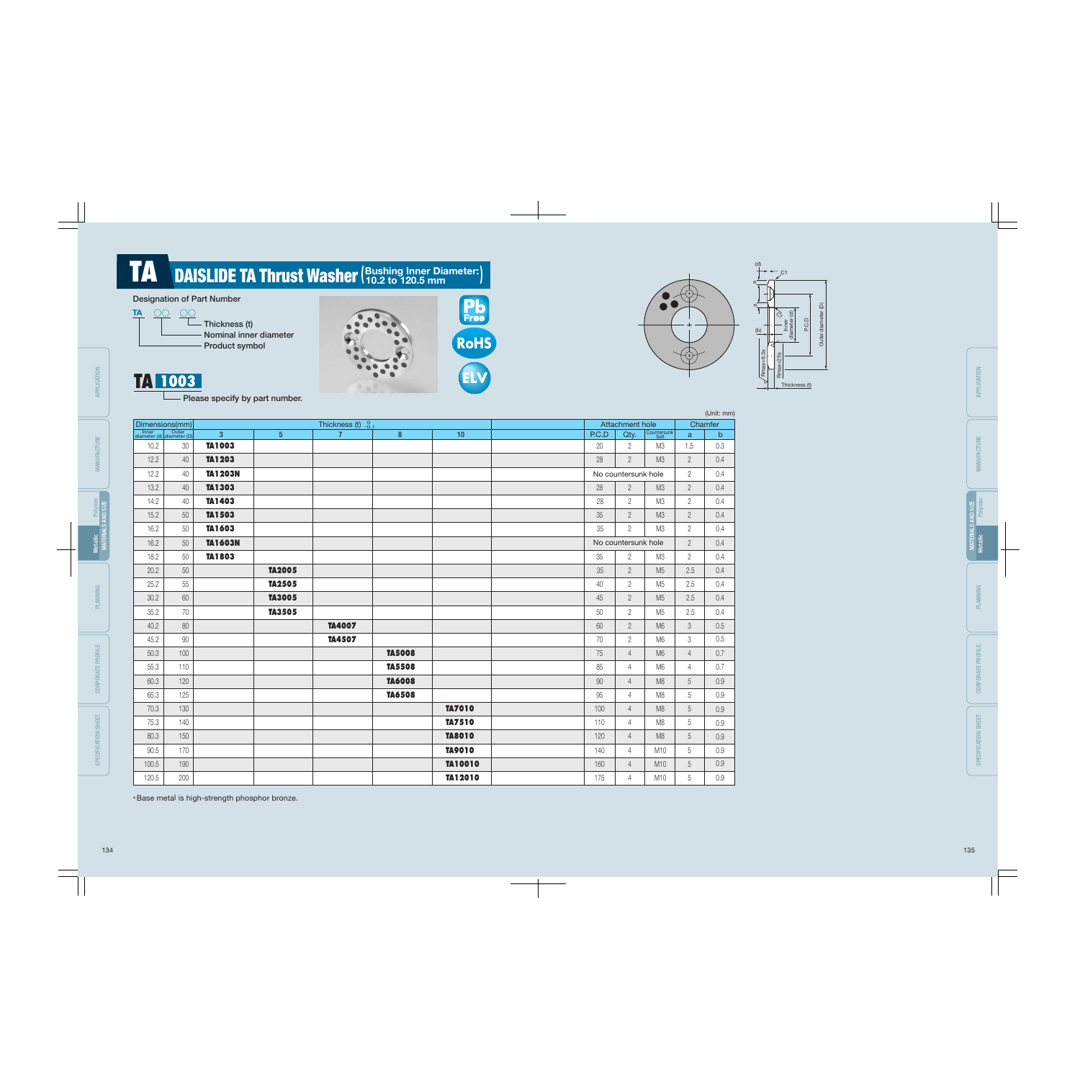Nominal inner diameter Product symbol



 $\pi$ a

∗Base metal is high-strength phosphor bronze. lii

|       |                                    |                |                 |                      |               |               |  |       |                     |                     | (Unit: mm)     |              |  |
|-------|------------------------------------|----------------|-----------------|----------------------|---------------|---------------|--|-------|---------------------|---------------------|----------------|--------------|--|
|       | Dimensions(mm)                     |                |                 | Thickness (t) $-0.1$ |               |               |  |       | Attachment hole     |                     |                | Chamfer      |  |
|       | Inner<br>diameter (d) diameter (D) | $\overline{3}$ | $5\phantom{.0}$ | $\overline{7}$       | $\bf 8$       | 10            |  | P.C.D | Qty.                | Countersunk<br>bolt | $\mathbf{a}$   | $\mathsf{b}$ |  |
| 10.2  | $30\,$                             | TA1003         |                 |                      |               |               |  | 20    | $\overline{2}$      | M3                  | 1.5            | 0.3          |  |
| 12.2  | 40                                 | TA1203         |                 |                      |               |               |  | 28    | $\overline{2}$      | M3                  | $\overline{2}$ | 0.4          |  |
| 12.2  | 40                                 | <b>TA1203N</b> |                 |                      |               |               |  |       | No countersunk hole |                     | $\overline{2}$ | 0.4          |  |
| 13.2  | 40                                 | TA1303         |                 |                      |               |               |  | 28    | $2^{\circ}$         | M3                  | $\overline{2}$ | 0.4          |  |
| 14.2  | 40                                 | TA1403         |                 |                      |               |               |  | 28    | $\overline{2}$      | M3                  | $\overline{2}$ | 0.4          |  |
| 15.2  | 50                                 | TA1503         |                 |                      |               |               |  | 35    | $\overline{2}$      | M3                  | $\overline{2}$ | 0.4          |  |
| 16.2  | 50                                 | TA1603         |                 |                      |               |               |  | 35    | $\overline{2}$      | M3                  | $\overline{2}$ | 0.4          |  |
| 16.2  | 50                                 | <b>TA1603N</b> |                 |                      |               |               |  |       | No countersunk hole |                     | $\overline{2}$ | 0.4          |  |
| 18.2  | 50                                 | TA1803         |                 |                      |               |               |  | 35    | $\overline{2}$      | M3                  | $\overline{2}$ | 0.4          |  |
| 20.2  | 50                                 |                | TA2005          |                      |               |               |  | 35    | $\overline{2}$      | M <sub>5</sub>      | 2.5            | 0.4          |  |
| 25.2  | 55                                 |                | <b>TA2505</b>   |                      |               |               |  | 40    | $\overline{2}$      | M <sub>5</sub>      | 2.5            | 0.4          |  |
| 30.2  | 60                                 |                | <b>TA3005</b>   |                      |               |               |  | 45    | $\overline{2}$      | M <sub>5</sub>      | 2.5            | 0.4          |  |
| 35.2  | 70                                 |                | TA3505          |                      |               |               |  | 50    | $\overline{2}$      | M <sub>5</sub>      | 2.5            | 0.4          |  |
| 40.2  | 80                                 |                |                 | <b>TA4007</b>        |               |               |  | 60    | $\overline{2}$      | M6                  | 3              | 0.5          |  |
| 45.2  | 90                                 |                |                 | <b>TA4507</b>        |               |               |  | 70    | $\overline{2}$      | M6                  | 3              | 0.5          |  |
| 50.3  | 100                                |                |                 |                      | <b>TA5008</b> |               |  | 75    | $\overline{4}$      | M <sub>6</sub>      | $\overline{4}$ | 0.7          |  |
| 55.3  | 110                                |                |                 |                      | <b>TA5508</b> |               |  | 85    | $\overline{4}$      | M6                  | $\overline{4}$ | 0.7          |  |
| 60.3  | 120                                |                |                 |                      | <b>TA6008</b> |               |  | 90    | $\overline{4}$      | M <sub>8</sub>      | 5              | 0.9          |  |
| 65.3  | 125                                |                |                 |                      | <b>TA6508</b> |               |  | 95    | 4                   | M <sub>8</sub>      | 5              | 0.9          |  |
| 70.3  | 130                                |                |                 |                      |               | TA7010        |  | 100   | $\overline{4}$      | M8                  | 5              | 0.9          |  |
| 75.3  | 140                                |                |                 |                      |               | TA7510        |  | 110   | $\overline{4}$      | M <sub>8</sub>      | 5              | 0.9          |  |
| 80.3  | 150                                |                |                 |                      |               | <b>TA8010</b> |  | 120   | $\overline{4}$      | M8                  | 5              | 0.9          |  |
| 90.5  | 170                                |                |                 |                      |               | <b>TA9010</b> |  | 140   | $\overline{4}$      | M10                 | 5              | 0.9          |  |
| 100.5 | 190                                |                |                 |                      |               | TA10010       |  | 160   | $\overline{4}$      | M10                 | 5              | 0.9          |  |
| 120.5 | 200                                |                |                 |                      |               | TA12010       |  | 175   | 4                   | M10                 | 5              | 0.9          |  |

### (Bushing Inner Diameter : **TA** DAISLIDE TA Thrust Washer (Bushing Inner Diameter:)

### Designation of Part Number



Rmax=6.3s

(b)

(d)







TA 1003 - Please specify by part number.

134 135

CORPORATE PROFILE

CORPORATE PROFILE

Polymer

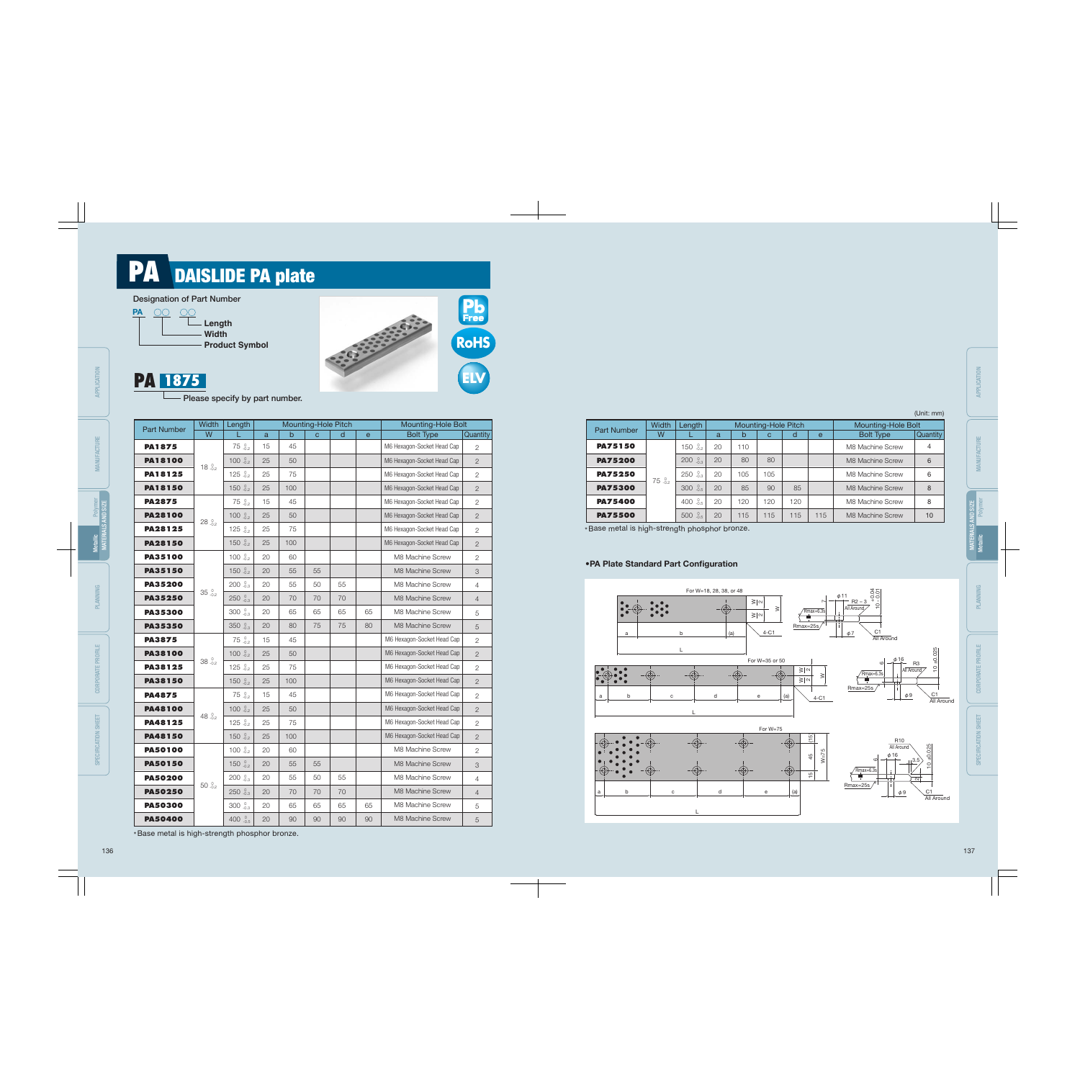## PA DAISLIDE PA plate





### •PA Plate Standard Part Configuration

\*Base metal is high-strength phosphor bronze. ii ∗Base metal is high-strength phosphor bronze. ii



| <b>Part Number</b> | Width           | Length             |    |     | Mounting-Hole Pitch |              |              | Mounting-Hole Bolt         |                 | Width                             |
|--------------------|-----------------|--------------------|----|-----|---------------------|--------------|--------------|----------------------------|-----------------|-----------------------------------|
|                    | W               |                    | a  | b   | $\mathbf{C}$        | $\mathsf{d}$ | $\mathbf{e}$ | <b>Bolt Type</b>           | <b>Quantity</b> | <b>Part Number</b><br>W           |
| <b>PA1875</b>      |                 | 75.002             | 15 | 45  |                     |              |              | M6 Hexagon-Socket Head Cap | $\overline{2}$  | <b>PA75150</b>                    |
| <b>PA18100</b>     | 18.02           | 100 $^{0}_{-0.2}$  | 25 | 50  |                     |              |              | M6 Hexagon-Socket Head Cap | $\mathbf{2}$    | <b>PA75200</b>                    |
| PA18125            |                 | 125 $_{-0.2}^{0}$  | 25 | 75  |                     |              |              | M6 Hexagon-Socket Head Cap | $\mathbf{2}$    | <b>PA75250</b><br>$75^{0}_{-0.2}$ |
| <b>PA18150</b>     |                 | 150 $_{-0.2}^{0}$  | 25 | 100 |                     |              |              | M6 Hexagon-Socket Head Cap | $\overline{2}$  | <b>PA75300</b>                    |
| <b>PA2875</b>      |                 | 75.002             | 15 | 45  |                     |              |              | M6 Hexagon-Socket Head Cap | $\mathbf{2}$    | <b>PA75400</b>                    |
| <b>PA28100</b>     | $28^{0}_{-0.2}$ | 100 $_{-0.2}^{0}$  | 25 | 50  |                     |              |              | M6 Hexagon-Socket Head Cap | $\overline{2}$  | <b>PA75500</b>                    |
| <b>PA28125</b>     |                 | 125 $_{-0.2}^{0}$  | 25 | 75  |                     |              |              | M6 Hexagon-Socket Head Cap | $\mathbf{2}$    | *Base metal is high-strength pho  |
| <b>PA28150</b>     |                 | 150 $^{0}_{-0.2}$  | 25 | 100 |                     |              |              | M6 Hexagon-Socket Head Cap | $\overline{2}$  |                                   |
| <b>PA35100</b>     |                 | 100 $^{0}_{-0.2}$  | 20 | 60  |                     |              |              | M8 Machine Screw           | $\mathbf{2}$    | • PA Plate Standard Part Con      |
| <b>PA35150</b>     |                 | 150 $^{0}_{-0.2}$  | 20 | 55  | 55                  |              |              | M8 Machine Screw           | 3               |                                   |
| <b>PA35200</b>     |                 | $200^{0}$          | 20 | 55  | 50                  | 55           |              | M8 Machine Screw           | $\overline{4}$  |                                   |
| <b>PA35250</b>     | $35.00_{-0.2}$  | 250.00103          | 20 | 70  | 70                  | 70           |              | M8 Machine Screw           | $\overline{4}$  |                                   |
| <b>PA35300</b>     |                 | 300 .0.3           | 20 | 65  | 65                  | 65           | 65           | M8 Machine Screw           | 5               |                                   |
| <b>PA35350</b>     |                 | 350.0              | 20 | 80  | 75                  | 75           | 80           | M8 Machine Screw           | 5               |                                   |
| <b>PA3875</b>      |                 | 75.002             | 15 | 45  |                     |              |              | M6 Hexagon-Socket Head Cap | $\overline{2}$  | a                                 |
| <b>PA38100</b>     |                 | 100 $^{0}_{-0.2}$  | 25 | 50  |                     |              |              | M6 Hexagon-Socket Head Cap | $\overline{2}$  |                                   |
| <b>PA38125</b>     | 38.02           | 125 $^{0.0}_{0.2}$ | 25 | 75  |                     |              |              | M6 Hexagon-Socket Head Cap | $\overline{2}$  |                                   |
| <b>PA38150</b>     |                 | 150 $^{0}_{-0.2}$  | 25 | 100 |                     |              |              | M6 Hexagon-Socket Head Cap | $\overline{2}$  |                                   |
| <b>PA4875</b>      |                 | 75.002             | 15 | 45  |                     |              |              | M6 Hexagon-Socket Head Cap | $\overline{2}$  | $\mathsf b$<br>с<br>a             |
| <b>PA48100</b>     |                 | 100 $^{0}_{-0.2}$  | 25 | 50  |                     |              |              | M6 Hexagon-Socket Head Cap | $\overline{2}$  |                                   |
| PA48125            | 48 $^{0}$       | 125 $_{-0.2}^{0}$  | 25 | 75  |                     |              |              | M6 Hexagon-Socket Head Cap | $\overline{2}$  |                                   |
| <b>PA48150</b>     |                 | 150 $^{0}_{-0.2}$  | 25 | 100 |                     |              |              | M6 Hexagon-Socket Head Cap | $\mathbf{2}$    |                                   |
| <b>PA50100</b>     |                 | 100 $_{-0.2}^{0}$  | 20 | 60  |                     |              |              | M8 Machine Screw           | $\overline{2}$  |                                   |
| <b>PA50150</b>     |                 | 150 $_{-0.2}^{0}$  | 20 | 55  | 55                  |              |              | M8 Machine Screw           | 3               |                                   |
| <b>PA50200</b>     |                 | $200^{0}$          | 20 | 55  | 50                  | 55           |              | M8 Machine Screw           | $\overline{4}$  |                                   |
| <b>PA50250</b>     | 50.02           | 250.00103          | 20 | 70  | 70                  | 70           |              | M8 Machine Screw           | $\overline{4}$  | b<br>${\tt C}$<br>a               |
| <b>PA50300</b>     |                 | $300_{-0.3}^{0}$   | 20 | 65  | 65                  | 65           | 65           | M8 Machine Screw           | 5               |                                   |
| <b>PA50400</b>     |                 | 400 $^{0}_{-0.5}$  | 20 | 90  | 90                  | 90           | 90           | M8 Machine Screw           | 5               |                                   |

MATERIALS AND SIZE **POLIS AND SIZE** 

|                    | <b>Width</b>    | Length               |    |     | Mounting-Hole Pitch |     | <b>Mounting-Hole Bolt</b> |                  |          |
|--------------------|-----------------|----------------------|----|-----|---------------------|-----|---------------------------|------------------|----------|
| <b>Part Number</b> | W               |                      | a  | b   | с                   | d   | $\mathbf{e}$              | <b>Bolt Type</b> | Quantity |
| <b>PA75150</b>     |                 | $^{0}_{-0.2}$<br>150 | 20 | 110 |                     |     |                           | M8 Machine Screw | 4        |
| <b>PA75200</b>     |                 | $-0.3$<br>200        | 20 | 80  | 80                  |     |                           | M8 Machine Screw | 6        |
| <b>PA75250</b>     |                 | $_{-0.3}^{0}$<br>250 | 20 | 105 | 105                 |     |                           | M8 Machine Screw | 6        |
| <b>PA75300</b>     | $75^{0}_{-0.2}$ | $^{0}_{-0.5}$<br>300 | 20 | 85  | 90                  | 85  |                           | M8 Machine Screw | 8        |
| <b>PA75400</b>     |                 | $_{-0.5}^{0}$<br>400 | 20 | 120 | 120                 | 120 |                           | M8 Machine Screw | 8        |
| <b>PA75500</b>     |                 | $_{-0.5}^{0}$<br>500 | 20 | 115 | 115                 | 115 | 115                       | M8 Machine Screw | 10       |
|                    |                 |                      |    |     |                     |     |                           |                  |          |

#### (Unit: mm)



### **PA 1875**

- Please specify by part number.

APPLICATION

APPLICATION

MANUFACTURE

*ANUFACTURE* 

PLANNING

CORPORATE PROFILE

SPECIFICATION SHEET

Metallic